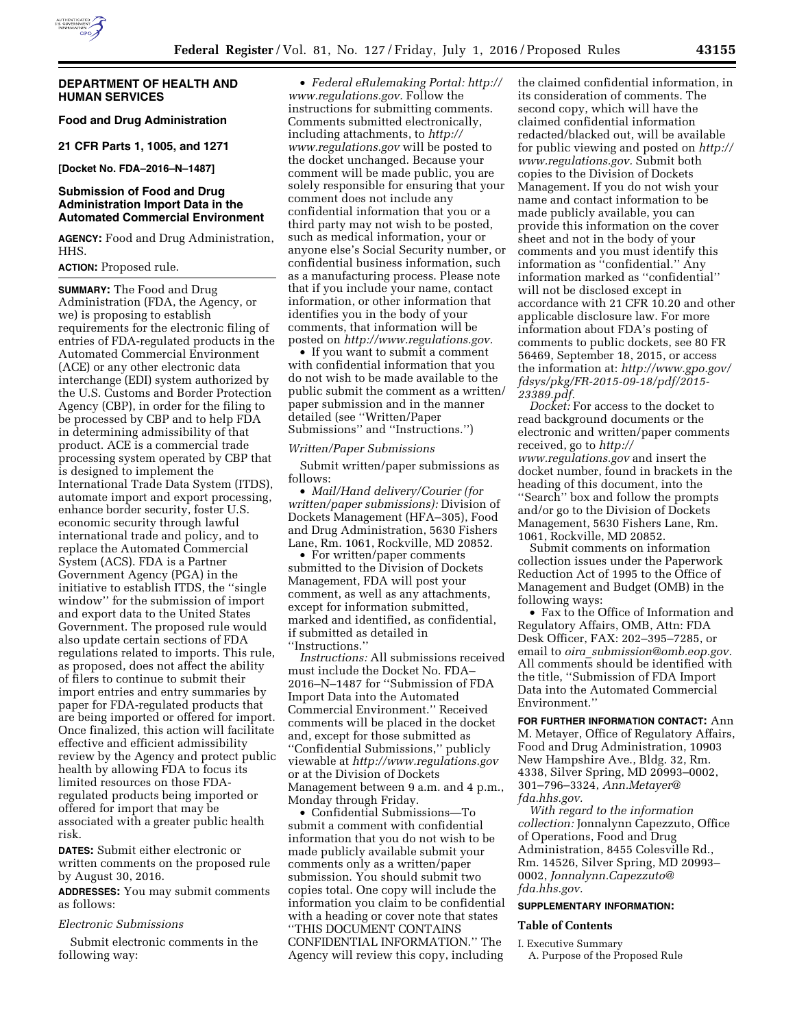## **DEPARTMENT OF HEALTH AND HUMAN SERVICES**

# **Food and Drug Administration**

**21 CFR Parts 1, 1005, and 1271** 

**[Docket No. FDA–2016–N–1487]** 

# **Submission of Food and Drug Administration Import Data in the Automated Commercial Environment**

**AGENCY:** Food and Drug Administration, HHS.

## **ACTION:** Proposed rule.

**SUMMARY:** The Food and Drug Administration (FDA, the Agency, or we) is proposing to establish requirements for the electronic filing of entries of FDA-regulated products in the Automated Commercial Environment (ACE) or any other electronic data interchange (EDI) system authorized by the U.S. Customs and Border Protection Agency (CBP), in order for the filing to be processed by CBP and to help FDA in determining admissibility of that product. ACE is a commercial trade processing system operated by CBP that is designed to implement the International Trade Data System (ITDS), automate import and export processing, enhance border security, foster U.S. economic security through lawful international trade and policy, and to replace the Automated Commercial System (ACS). FDA is a Partner Government Agency (PGA) in the initiative to establish ITDS, the ''single window'' for the submission of import and export data to the United States Government. The proposed rule would also update certain sections of FDA regulations related to imports. This rule, as proposed, does not affect the ability of filers to continue to submit their import entries and entry summaries by paper for FDA-regulated products that are being imported or offered for import. Once finalized, this action will facilitate effective and efficient admissibility review by the Agency and protect public health by allowing FDA to focus its limited resources on those FDAregulated products being imported or offered for import that may be associated with a greater public health risk.

**DATES:** Submit either electronic or written comments on the proposed rule by August 30, 2016.

**ADDRESSES:** You may submit comments as follows:

#### *Electronic Submissions*

Submit electronic comments in the following way:

• *Federal eRulemaking Portal: [http://](http://www.regulations.gov)  [www.regulations.gov.](http://www.regulations.gov)* Follow the instructions for submitting comments. Comments submitted electronically, including attachments, to *[http://](http://www.regulations.gov) [www.regulations.gov](http://www.regulations.gov)* will be posted to the docket unchanged. Because your comment will be made public, you are solely responsible for ensuring that your comment does not include any confidential information that you or a third party may not wish to be posted, such as medical information, your or anyone else's Social Security number, or confidential business information, such as a manufacturing process. Please note that if you include your name, contact information, or other information that identifies you in the body of your comments, that information will be posted on *[http://www.regulations.gov.](http://www.regulations.gov)* 

• If you want to submit a comment with confidential information that you do not wish to be made available to the public submit the comment as a written/ paper submission and in the manner detailed (see ''Written/Paper Submissions'' and ''Instructions.'')

*Written/Paper Submissions* 

Submit written/paper submissions as follows:

• *Mail/Hand delivery/Courier (for written/paper submissions):* Division of Dockets Management (HFA–305), Food and Drug Administration, 5630 Fishers Lane, Rm. 1061, Rockville, MD 20852.

• For written/paper comments submitted to the Division of Dockets Management, FDA will post your comment, as well as any attachments, except for information submitted, marked and identified, as confidential, if submitted as detailed in ''Instructions.''

*Instructions:* All submissions received must include the Docket No. FDA– 2016–N–1487 for ''Submission of FDA Import Data into the Automated Commercial Environment.'' Received comments will be placed in the docket and, except for those submitted as ''Confidential Submissions,'' publicly viewable at *<http://www.regulations.gov>* or at the Division of Dockets Management between 9 a.m. and 4 p.m., Monday through Friday.

• Confidential Submissions—To submit a comment with confidential information that you do not wish to be made publicly available submit your comments only as a written/paper submission. You should submit two copies total. One copy will include the information you claim to be confidential with a heading or cover note that states ''THIS DOCUMENT CONTAINS CONFIDENTIAL INFORMATION.'' The Agency will review this copy, including

the claimed confidential information, in its consideration of comments. The second copy, which will have the claimed confidential information redacted/blacked out, will be available for public viewing and posted on *[http://](http://www.regulations.gov)  [www.regulations.gov.](http://www.regulations.gov)* Submit both copies to the Division of Dockets Management. If you do not wish your name and contact information to be made publicly available, you can provide this information on the cover sheet and not in the body of your comments and you must identify this information as  $\lq\lq$  confidential." Any information marked as ''confidential'' will not be disclosed except in accordance with 21 CFR 10.20 and other applicable disclosure law. For more information about FDA's posting of comments to public dockets, see 80 FR 56469, September 18, 2015, or access the information at: *[http://www.gpo.gov/](http://www.gpo.gov/fdsys/pkg/FR-2015-09-18/pdf/2015-23389.pdf) [fdsys/pkg/FR-2015-09-18/pdf/2015-](http://www.gpo.gov/fdsys/pkg/FR-2015-09-18/pdf/2015-23389.pdf)  [23389.pdf.](http://www.gpo.gov/fdsys/pkg/FR-2015-09-18/pdf/2015-23389.pdf)* 

*Docket:* For access to the docket to read background documents or the electronic and written/paper comments received, go to *[http://](http://www.regulations.gov) [www.regulations.gov](http://www.regulations.gov)* and insert the docket number, found in brackets in the heading of this document, into the ''Search'' box and follow the prompts and/or go to the Division of Dockets Management, 5630 Fishers Lane, Rm. 1061, Rockville, MD 20852.

Submit comments on information collection issues under the Paperwork Reduction Act of 1995 to the Office of Management and Budget (OMB) in the following ways:

• Fax to the Office of Information and Regulatory Affairs, OMB, Attn: FDA Desk Officer, FAX: 202–395–7285, or email to *oira*\_*[submission@omb.eop.gov.](mailto:oira_submission@omb.eop.gov)*  All comments should be identified with the title, ''Submission of FDA Import Data into the Automated Commercial Environment.''

**FOR FURTHER INFORMATION CONTACT:** Ann M. Metayer, Office of Regulatory Affairs, Food and Drug Administration, 10903 New Hampshire Ave., Bldg. 32, Rm. 4338, Silver Spring, MD 20993–0002, 301–796–3324, *[Ann.Metayer@](mailto:Ann.Metayer@fda.hhs.gov) [fda.hhs.gov.](mailto:Ann.Metayer@fda.hhs.gov)* 

*With regard to the information collection:* Jonnalynn Capezzuto, Office of Operations, Food and Drug Administration, 8455 Colesville Rd., Rm. 14526, Silver Spring, MD 20993– 0002, *[Jonnalynn.Capezzuto@](mailto:Jonnalynn.Capezzuto@fda.hhs.gov) [fda.hhs.gov.](mailto:Jonnalynn.Capezzuto@fda.hhs.gov)* 

# **SUPPLEMENTARY INFORMATION:**

# **Table of Contents**

I. Executive Summary A. Purpose of the Proposed Rule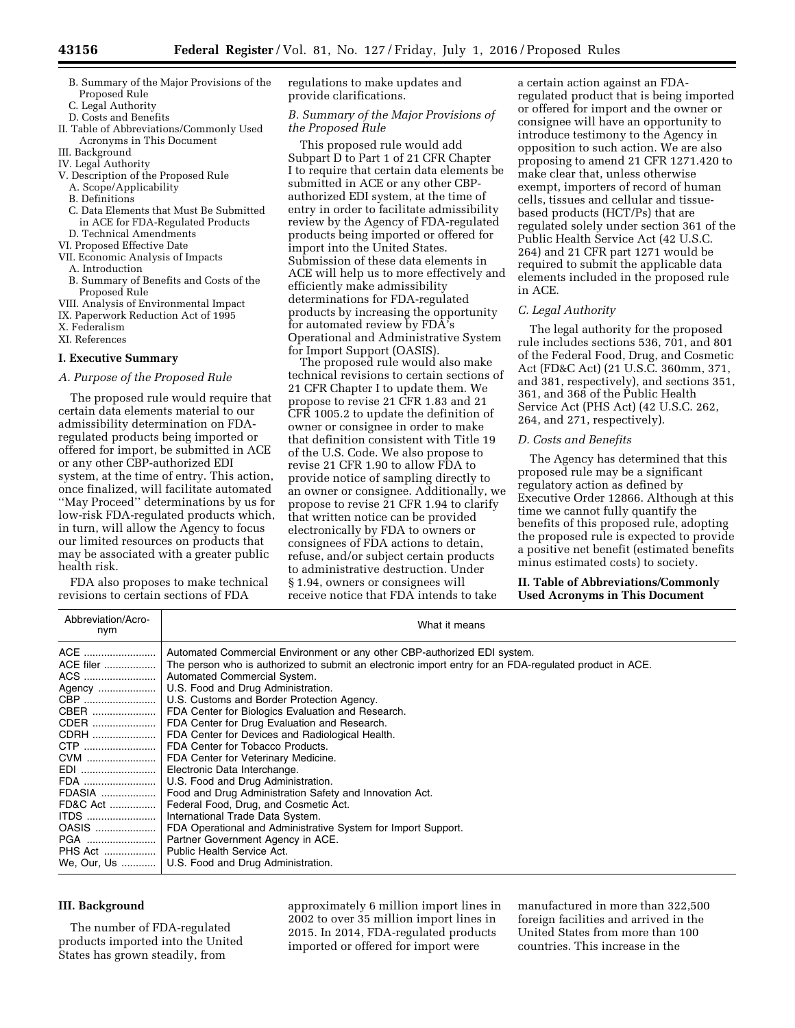- B. Summary of the Major Provisions of the Proposed Rule
- C. Legal Authority
- D. Costs and Benefits
- II. Table of Abbreviations/Commonly Used Acronyms in This Document
- III. Background
- IV. Legal Authority
- V. Description of the Proposed Rule
	- A. Scope/Applicability
	- B. Definitions
	- C. Data Elements that Must Be Submitted in ACE for FDA-Regulated Products
- D. Technical Amendments
- VI. Proposed Effective Date
- VII. Economic Analysis of Impacts A. Introduction
	- B. Summary of Benefits and Costs of the Proposed Rule
- VIII. Analysis of Environmental Impact
- IX. Paperwork Reduction Act of 1995
- X. Federalism
- XI. References

## **I. Executive Summary**

## *A. Purpose of the Proposed Rule*

The proposed rule would require that certain data elements material to our admissibility determination on FDAregulated products being imported or offered for import, be submitted in ACE or any other CBP-authorized EDI system, at the time of entry. This action, once finalized, will facilitate automated ''May Proceed'' determinations by us for low-risk FDA-regulated products which, in turn, will allow the Agency to focus our limited resources on products that may be associated with a greater public health risk.

FDA also proposes to make technical revisions to certain sections of FDA

regulations to make updates and provide clarifications.

*B. Summary of the Major Provisions of the Proposed Rule* 

This proposed rule would add Subpart D to Part 1 of 21 CFR Chapter I to require that certain data elements be submitted in ACE or any other CBPauthorized EDI system, at the time of entry in order to facilitate admissibility review by the Agency of FDA-regulated products being imported or offered for import into the United States. Submission of these data elements in ACE will help us to more effectively and efficiently make admissibility determinations for FDA-regulated products by increasing the opportunity for automated review by FDA's Operational and Administrative System for Import Support (OASIS).

The proposed rule would also make technical revisions to certain sections of 21 CFR Chapter I to update them. We propose to revise 21 CFR 1.83 and 21 CFR 1005.2 to update the definition of owner or consignee in order to make that definition consistent with Title 19 of the U.S. Code. We also propose to revise 21 CFR 1.90 to allow FDA to provide notice of sampling directly to an owner or consignee. Additionally, we propose to revise 21 CFR 1.94 to clarify that written notice can be provided electronically by FDA to owners or consignees of FDA actions to detain, refuse, and/or subject certain products to administrative destruction. Under § 1.94, owners or consignees will receive notice that FDA intends to take

a certain action against an FDAregulated product that is being imported or offered for import and the owner or consignee will have an opportunity to introduce testimony to the Agency in opposition to such action. We are also proposing to amend 21 CFR 1271.420 to make clear that, unless otherwise exempt, importers of record of human cells, tissues and cellular and tissuebased products (HCT/Ps) that are regulated solely under section 361 of the Public Health Service Act (42 U.S.C. 264) and 21 CFR part 1271 would be required to submit the applicable data elements included in the proposed rule in ACE.

## *C. Legal Authority*

The legal authority for the proposed rule includes sections 536, 701, and 801 of the Federal Food, Drug, and Cosmetic Act (FD&C Act) (21 U.S.C. 360mm, 371, and 381, respectively), and sections 351, 361, and 368 of the Public Health Service Act (PHS Act) (42 U.S.C. 262, 264, and 271, respectively).

## *D. Costs and Benefits*

The Agency has determined that this proposed rule may be a significant regulatory action as defined by Executive Order 12866. Although at this time we cannot fully quantify the benefits of this proposed rule, adopting the proposed rule is expected to provide a positive net benefit (estimated benefits minus estimated costs) to society.

**II. Table of Abbreviations/Commonly Used Acronyms in This Document** 

| Abbreviation/Acro-<br>nym | What it means                                                                                                                                                                                                                                                                                                                                                                                                                                                                                                                                                                                                                                                                                                                                                                                                                                                                                                                                                                                                                                                                                        |
|---------------------------|------------------------------------------------------------------------------------------------------------------------------------------------------------------------------------------------------------------------------------------------------------------------------------------------------------------------------------------------------------------------------------------------------------------------------------------------------------------------------------------------------------------------------------------------------------------------------------------------------------------------------------------------------------------------------------------------------------------------------------------------------------------------------------------------------------------------------------------------------------------------------------------------------------------------------------------------------------------------------------------------------------------------------------------------------------------------------------------------------|
|                           | ACE  Automated Commercial Environment or any other CBP-authorized EDI system.<br>ACE filer ………………   The person who is authorized to submit an electronic import entry for an FDA-regulated product in ACE.<br>ACS    Automated Commercial System.<br>Agency  U.S. Food and Drug Administration.<br>CBP   U.S. Customs and Border Protection Agency.<br>CBER    FDA Center for Biologics Evaluation and Research.<br>CDER   FDA Center for Drug Evaluation and Research.<br>CDRH    FDA Center for Devices and Radiological Health.<br>CTP    FDA Center for Tobacco Products.<br>CVM    FDA Center for Veterinary Medicine.<br>EDI   Electronic Data Interchange.<br>FDA   U.S. Food and Drug Administration.<br>FDASIA   Food and Drug Administration Safety and Innovation Act.<br>FD&C Act    Federal Food, Drug, and Cosmetic Act.<br>ITDS    International Trade Data System.<br>OASIS  FDA Operational and Administrative System for Import Support.<br>PGA    Partner Government Agency in ACE.<br>PHS Act    Public Health Service Act.<br>We, Our, Us    U.S. Food and Drug Administration. |
|                           |                                                                                                                                                                                                                                                                                                                                                                                                                                                                                                                                                                                                                                                                                                                                                                                                                                                                                                                                                                                                                                                                                                      |

# **III. Background**

The number of FDA-regulated products imported into the United States has grown steadily, from

approximately 6 million import lines in 2002 to over 35 million import lines in 2015. In 2014, FDA-regulated products imported or offered for import were

manufactured in more than 322,500 foreign facilities and arrived in the United States from more than 100 countries. This increase in the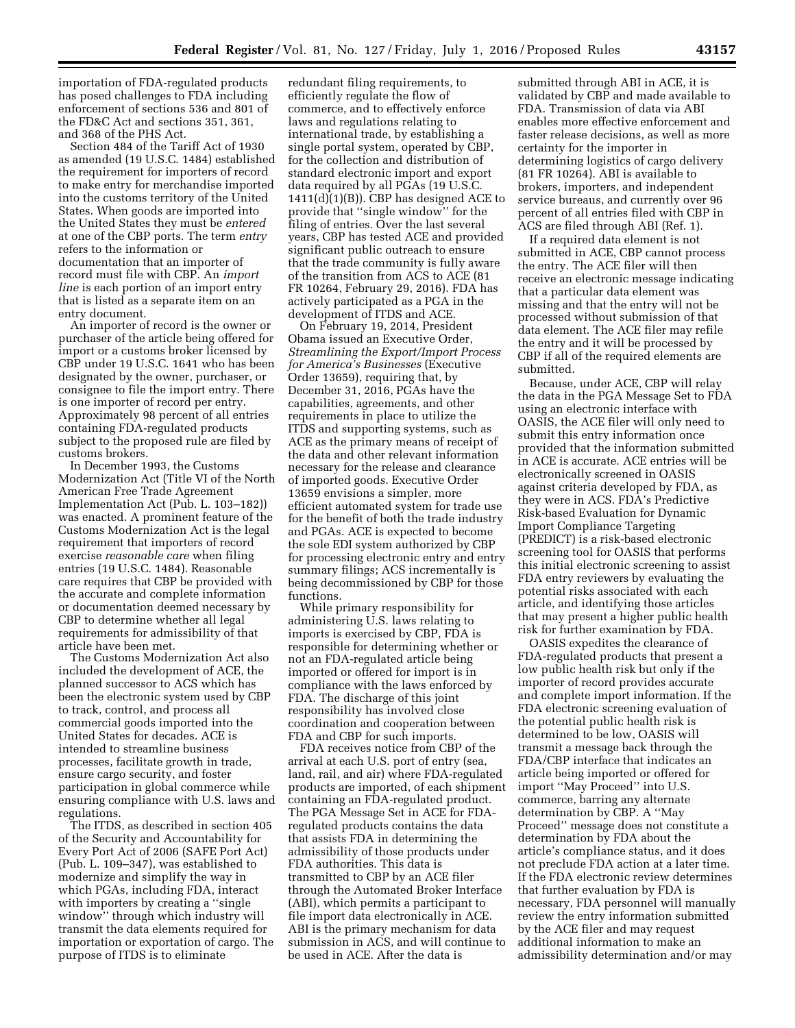importation of FDA-regulated products has posed challenges to FDA including enforcement of sections 536 and 801 of the FD&C Act and sections 351, 361, and 368 of the PHS Act.

Section 484 of the Tariff Act of 1930 as amended (19 U.S.C. 1484) established the requirement for importers of record to make entry for merchandise imported into the customs territory of the United States. When goods are imported into the United States they must be *entered*  at one of the CBP ports. The term *entry*  refers to the information or documentation that an importer of record must file with CBP. An *import line* is each portion of an import entry that is listed as a separate item on an entry document.

An importer of record is the owner or purchaser of the article being offered for import or a customs broker licensed by CBP under 19 U.S.C. 1641 who has been designated by the owner, purchaser, or consignee to file the import entry. There is one importer of record per entry. Approximately 98 percent of all entries containing FDA-regulated products subject to the proposed rule are filed by customs brokers.

In December 1993, the Customs Modernization Act (Title VI of the North American Free Trade Agreement Implementation Act (Pub. L. 103–182)) was enacted. A prominent feature of the Customs Modernization Act is the legal requirement that importers of record exercise *reasonable care* when filing entries (19 U.S.C. 1484). Reasonable care requires that CBP be provided with the accurate and complete information or documentation deemed necessary by CBP to determine whether all legal requirements for admissibility of that article have been met.

The Customs Modernization Act also included the development of ACE, the planned successor to ACS which has been the electronic system used by CBP to track, control, and process all commercial goods imported into the United States for decades. ACE is intended to streamline business processes, facilitate growth in trade, ensure cargo security, and foster participation in global commerce while ensuring compliance with U.S. laws and regulations.

The ITDS, as described in section 405 of the Security and Accountability for Every Port Act of 2006 (SAFE Port Act) (Pub. L. 109–347), was established to modernize and simplify the way in which PGAs, including FDA, interact with importers by creating a "single window'' through which industry will transmit the data elements required for importation or exportation of cargo. The purpose of ITDS is to eliminate

redundant filing requirements, to efficiently regulate the flow of commerce, and to effectively enforce laws and regulations relating to international trade, by establishing a single portal system, operated by CBP, for the collection and distribution of standard electronic import and export data required by all PGAs (19 U.S.C.  $1411(d)(1)(B)$ ). CBP has designed ACE to provide that ''single window'' for the filing of entries. Over the last several years, CBP has tested ACE and provided significant public outreach to ensure that the trade community is fully aware of the transition from ACS to ACE (81 FR 10264, February 29, 2016). FDA has actively participated as a PGA in the development of ITDS and ACE.

On February 19, 2014, President Obama issued an Executive Order, *Streamlining the Export/Import Process for America's Businesses* (Executive Order 13659), requiring that, by December 31, 2016, PGAs have the capabilities, agreements, and other requirements in place to utilize the ITDS and supporting systems, such as ACE as the primary means of receipt of the data and other relevant information necessary for the release and clearance of imported goods. Executive Order 13659 envisions a simpler, more efficient automated system for trade use for the benefit of both the trade industry and PGAs. ACE is expected to become the sole EDI system authorized by CBP for processing electronic entry and entry summary filings; ACS incrementally is being decommissioned by CBP for those functions.

While primary responsibility for administering U.S. laws relating to imports is exercised by CBP, FDA is responsible for determining whether or not an FDA-regulated article being imported or offered for import is in compliance with the laws enforced by FDA. The discharge of this joint responsibility has involved close coordination and cooperation between FDA and CBP for such imports.

FDA receives notice from CBP of the arrival at each U.S. port of entry (sea, land, rail, and air) where FDA-regulated products are imported, of each shipment containing an FDA-regulated product. The PGA Message Set in ACE for FDAregulated products contains the data that assists FDA in determining the admissibility of those products under FDA authorities. This data is transmitted to CBP by an ACE filer through the Automated Broker Interface (ABI), which permits a participant to file import data electronically in ACE. ABI is the primary mechanism for data submission in ACS, and will continue to be used in ACE. After the data is

submitted through ABI in ACE, it is validated by CBP and made available to FDA. Transmission of data via ABI enables more effective enforcement and faster release decisions, as well as more certainty for the importer in determining logistics of cargo delivery (81 FR 10264). ABI is available to brokers, importers, and independent service bureaus, and currently over 96 percent of all entries filed with CBP in ACS are filed through ABI (Ref. 1).

If a required data element is not submitted in ACE, CBP cannot process the entry. The ACE filer will then receive an electronic message indicating that a particular data element was missing and that the entry will not be processed without submission of that data element. The ACE filer may refile the entry and it will be processed by CBP if all of the required elements are submitted.

Because, under ACE, CBP will relay the data in the PGA Message Set to FDA using an electronic interface with OASIS, the ACE filer will only need to submit this entry information once provided that the information submitted in ACE is accurate. ACE entries will be electronically screened in OASIS against criteria developed by FDA, as they were in ACS. FDA's Predictive Risk-based Evaluation for Dynamic Import Compliance Targeting (PREDICT) is a risk-based electronic screening tool for OASIS that performs this initial electronic screening to assist FDA entry reviewers by evaluating the potential risks associated with each article, and identifying those articles that may present a higher public health risk for further examination by FDA.

OASIS expedites the clearance of FDA-regulated products that present a low public health risk but only if the importer of record provides accurate and complete import information. If the FDA electronic screening evaluation of the potential public health risk is determined to be low, OASIS will transmit a message back through the FDA/CBP interface that indicates an article being imported or offered for import ''May Proceed'' into U.S. commerce, barring any alternate determination by CBP. A ''May Proceed'' message does not constitute a determination by FDA about the article's compliance status, and it does not preclude FDA action at a later time. If the FDA electronic review determines that further evaluation by FDA is necessary, FDA personnel will manually review the entry information submitted by the ACE filer and may request additional information to make an admissibility determination and/or may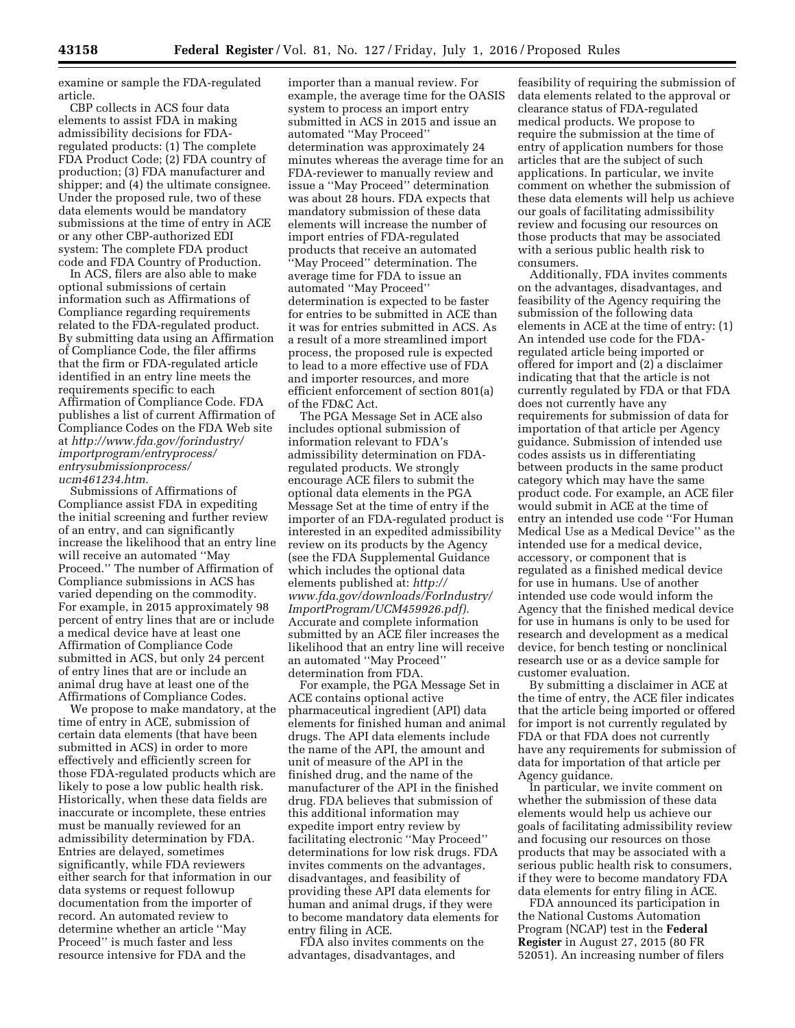examine or sample the FDA-regulated article.

CBP collects in ACS four data elements to assist FDA in making admissibility decisions for FDAregulated products: (1) The complete FDA Product Code; (2) FDA country of production; (3) FDA manufacturer and shipper; and (4) the ultimate consignee. Under the proposed rule, two of these data elements would be mandatory submissions at the time of entry in ACE or any other CBP-authorized EDI system: The complete FDA product code and FDA Country of Production.

In ACS, filers are also able to make optional submissions of certain information such as Affirmations of Compliance regarding requirements related to the FDA-regulated product. By submitting data using an Affirmation of Compliance Code, the filer affirms that the firm or FDA-regulated article identified in an entry line meets the requirements specific to each Affirmation of Compliance Code. FDA publishes a list of current Affirmation of Compliance Codes on the FDA Web site at *[http://www.fda.gov/forindustry/](http://www.fda.gov/forindustry/importprogram/entryprocess/entrysubmissionprocess/ucm461234.htm) [importprogram/entryprocess/](http://www.fda.gov/forindustry/importprogram/entryprocess/entrysubmissionprocess/ucm461234.htm) [entrysubmissionprocess/](http://www.fda.gov/forindustry/importprogram/entryprocess/entrysubmissionprocess/ucm461234.htm) [ucm461234.htm.](http://www.fda.gov/forindustry/importprogram/entryprocess/entrysubmissionprocess/ucm461234.htm)* 

Submissions of Affirmations of Compliance assist FDA in expediting the initial screening and further review of an entry, and can significantly increase the likelihood that an entry line will receive an automated ''May Proceed.'' The number of Affirmation of Compliance submissions in ACS has varied depending on the commodity. For example, in 2015 approximately 98 percent of entry lines that are or include a medical device have at least one Affirmation of Compliance Code submitted in ACS, but only 24 percent of entry lines that are or include an animal drug have at least one of the Affirmations of Compliance Codes.

We propose to make mandatory, at the time of entry in ACE, submission of certain data elements (that have been submitted in ACS) in order to more effectively and efficiently screen for those FDA-regulated products which are likely to pose a low public health risk. Historically, when these data fields are inaccurate or incomplete, these entries must be manually reviewed for an admissibility determination by FDA. Entries are delayed, sometimes significantly, while FDA reviewers either search for that information in our data systems or request followup documentation from the importer of record. An automated review to determine whether an article ''May Proceed'' is much faster and less resource intensive for FDA and the

importer than a manual review. For example, the average time for the OASIS system to process an import entry submitted in ACS in 2015 and issue an automated ''May Proceed'' determination was approximately 24 minutes whereas the average time for an FDA-reviewer to manually review and issue a ''May Proceed'' determination was about 28 hours. FDA expects that mandatory submission of these data elements will increase the number of import entries of FDA-regulated products that receive an automated ''May Proceed'' determination. The average time for FDA to issue an automated ''May Proceed'' determination is expected to be faster for entries to be submitted in ACE than it was for entries submitted in ACS. As a result of a more streamlined import process, the proposed rule is expected to lead to a more effective use of FDA and importer resources, and more efficient enforcement of section 801(a) of the FD&C Act.

The PGA Message Set in ACE also includes optional submission of information relevant to FDA's admissibility determination on FDAregulated products. We strongly encourage ACE filers to submit the optional data elements in the PGA Message Set at the time of entry if the importer of an FDA-regulated product is interested in an expedited admissibility review on its products by the Agency (see the FDA Supplemental Guidance which includes the optional data elements published at: *[http://](http://www.fda.gov/downloads/ForIndustry/ImportProgram/UCM459926.pdf) [www.fda.gov/downloads/ForIndustry/](http://www.fda.gov/downloads/ForIndustry/ImportProgram/UCM459926.pdf) [ImportProgram/UCM459926.pdf\).](http://www.fda.gov/downloads/ForIndustry/ImportProgram/UCM459926.pdf)*  Accurate and complete information submitted by an ACE filer increases the likelihood that an entry line will receive an automated ''May Proceed'' determination from FDA.

For example, the PGA Message Set in ACE contains optional active pharmaceutical ingredient (API) data elements for finished human and animal drugs. The API data elements include the name of the API, the amount and unit of measure of the API in the finished drug, and the name of the manufacturer of the API in the finished drug. FDA believes that submission of this additional information may expedite import entry review by facilitating electronic ''May Proceed'' determinations for low risk drugs. FDA invites comments on the advantages, disadvantages, and feasibility of providing these API data elements for human and animal drugs, if they were to become mandatory data elements for entry filing in ACE.

FDA also invites comments on the advantages, disadvantages, and

feasibility of requiring the submission of data elements related to the approval or clearance status of FDA-regulated medical products. We propose to require the submission at the time of entry of application numbers for those articles that are the subject of such applications. In particular, we invite comment on whether the submission of these data elements will help us achieve our goals of facilitating admissibility review and focusing our resources on those products that may be associated with a serious public health risk to consumers.

Additionally, FDA invites comments on the advantages, disadvantages, and feasibility of the Agency requiring the submission of the following data elements in ACE at the time of entry: (1) An intended use code for the FDAregulated article being imported or offered for import and (2) a disclaimer indicating that that the article is not currently regulated by FDA or that FDA does not currently have any requirements for submission of data for importation of that article per Agency guidance. Submission of intended use codes assists us in differentiating between products in the same product category which may have the same product code. For example, an ACE filer would submit in ACE at the time of entry an intended use code ''For Human Medical Use as a Medical Device'' as the intended use for a medical device, accessory, or component that is regulated as a finished medical device for use in humans. Use of another intended use code would inform the Agency that the finished medical device for use in humans is only to be used for research and development as a medical device, for bench testing or nonclinical research use or as a device sample for customer evaluation.

By submitting a disclaimer in ACE at the time of entry, the ACE filer indicates that the article being imported or offered for import is not currently regulated by FDA or that FDA does not currently have any requirements for submission of data for importation of that article per Agency guidance.

In particular, we invite comment on whether the submission of these data elements would help us achieve our goals of facilitating admissibility review and focusing our resources on those products that may be associated with a serious public health risk to consumers, if they were to become mandatory FDA data elements for entry filing in ACE.

FDA announced its participation in the National Customs Automation Program (NCAP) test in the **Federal Register** in August 27, 2015 (80 FR 52051). An increasing number of filers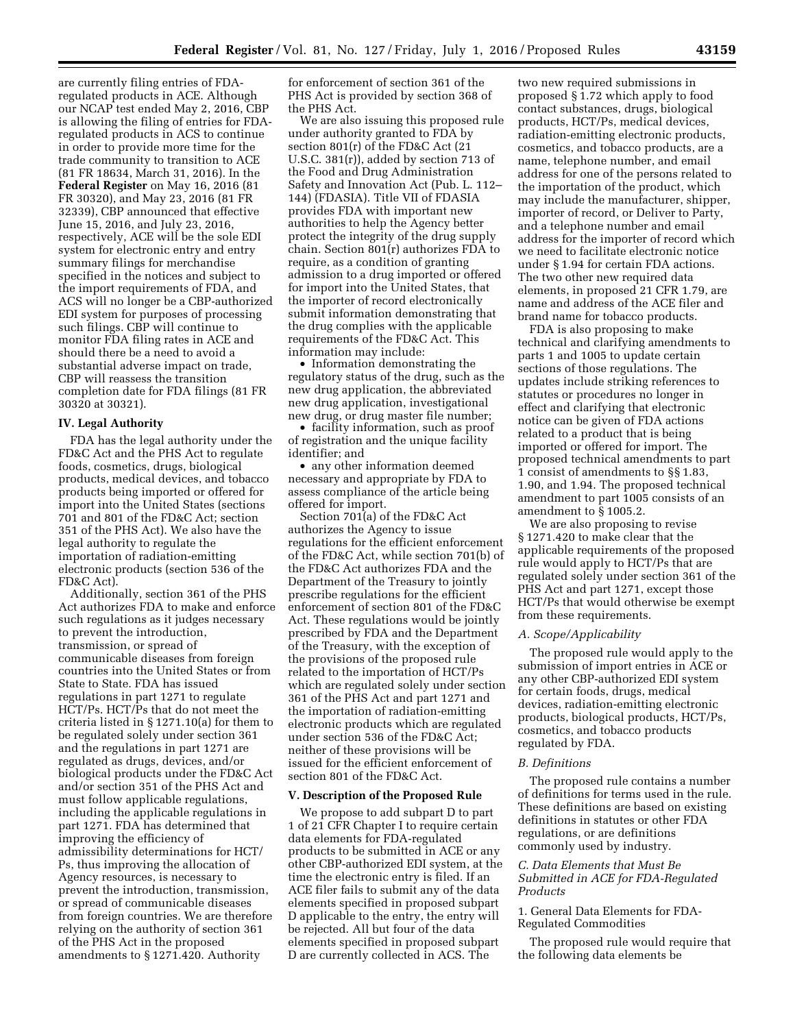are currently filing entries of FDAregulated products in ACE. Although our NCAP test ended May 2, 2016, CBP is allowing the filing of entries for FDAregulated products in ACS to continue in order to provide more time for the trade community to transition to ACE (81 FR 18634, March 31, 2016). In the **Federal Register** on May 16, 2016 (81 FR 30320), and May 23, 2016 (81 FR 32339), CBP announced that effective June 15, 2016, and July 23, 2016, respectively, ACE will be the sole EDI system for electronic entry and entry summary filings for merchandise specified in the notices and subject to the import requirements of FDA, and ACS will no longer be a CBP-authorized EDI system for purposes of processing such filings. CBP will continue to monitor FDA filing rates in ACE and should there be a need to avoid a substantial adverse impact on trade, CBP will reassess the transition completion date for FDA filings (81 FR 30320 at 30321).

## **IV. Legal Authority**

FDA has the legal authority under the FD&C Act and the PHS Act to regulate foods, cosmetics, drugs, biological products, medical devices, and tobacco products being imported or offered for import into the United States (sections 701 and 801 of the FD&C Act; section 351 of the PHS Act). We also have the legal authority to regulate the importation of radiation-emitting electronic products (section 536 of the FD&C Act).

Additionally, section 361 of the PHS Act authorizes FDA to make and enforce such regulations as it judges necessary to prevent the introduction, transmission, or spread of communicable diseases from foreign countries into the United States or from State to State. FDA has issued regulations in part 1271 to regulate HCT/Ps. HCT/Ps that do not meet the criteria listed in § 1271.10(a) for them to be regulated solely under section 361 and the regulations in part 1271 are regulated as drugs, devices, and/or biological products under the FD&C Act and/or section 351 of the PHS Act and must follow applicable regulations, including the applicable regulations in part 1271. FDA has determined that improving the efficiency of admissibility determinations for HCT/ Ps, thus improving the allocation of Agency resources, is necessary to prevent the introduction, transmission, or spread of communicable diseases from foreign countries. We are therefore relying on the authority of section 361 of the PHS Act in the proposed amendments to § 1271.420. Authority

for enforcement of section 361 of the PHS Act is provided by section 368 of the PHS Act.

We are also issuing this proposed rule under authority granted to FDA by section 801(r) of the FD&C Act (21 U.S.C. 381(r)), added by section 713 of the Food and Drug Administration Safety and Innovation Act (Pub. L. 112– 144) (FDASIA). Title VII of FDASIA provides FDA with important new authorities to help the Agency better protect the integrity of the drug supply chain. Section 801(r) authorizes FDA to require, as a condition of granting admission to a drug imported or offered for import into the United States, that the importer of record electronically submit information demonstrating that the drug complies with the applicable requirements of the FD&C Act. This information may include:

• Information demonstrating the regulatory status of the drug, such as the new drug application, the abbreviated new drug application, investigational new drug, or drug master file number;

• facility information, such as proof of registration and the unique facility identifier; and

• any other information deemed necessary and appropriate by FDA to assess compliance of the article being offered for import.

Section 701(a) of the FD&C Act authorizes the Agency to issue regulations for the efficient enforcement of the FD&C Act, while section 701(b) of the FD&C Act authorizes FDA and the Department of the Treasury to jointly prescribe regulations for the efficient enforcement of section 801 of the FD&C Act. These regulations would be jointly prescribed by FDA and the Department of the Treasury, with the exception of the provisions of the proposed rule related to the importation of HCT/Ps which are regulated solely under section 361 of the PHS Act and part 1271 and the importation of radiation-emitting electronic products which are regulated under section 536 of the FD&C Act; neither of these provisions will be issued for the efficient enforcement of section 801 of the FD&C Act.

## **V. Description of the Proposed Rule**

We propose to add subpart D to part 1 of 21 CFR Chapter I to require certain data elements for FDA-regulated products to be submitted in ACE or any other CBP-authorized EDI system, at the time the electronic entry is filed. If an ACE filer fails to submit any of the data elements specified in proposed subpart D applicable to the entry, the entry will be rejected. All but four of the data elements specified in proposed subpart D are currently collected in ACS. The

two new required submissions in proposed § 1.72 which apply to food contact substances, drugs, biological products, HCT/Ps, medical devices, radiation-emitting electronic products, cosmetics, and tobacco products, are a name, telephone number, and email address for one of the persons related to the importation of the product, which may include the manufacturer, shipper, importer of record, or Deliver to Party, and a telephone number and email address for the importer of record which we need to facilitate electronic notice under § 1.94 for certain FDA actions. The two other new required data elements, in proposed 21 CFR 1.79, are name and address of the ACE filer and brand name for tobacco products.

FDA is also proposing to make technical and clarifying amendments to parts 1 and 1005 to update certain sections of those regulations. The updates include striking references to statutes or procedures no longer in effect and clarifying that electronic notice can be given of FDA actions related to a product that is being imported or offered for import. The proposed technical amendments to part 1 consist of amendments to §§ 1.83, 1.90, and 1.94. The proposed technical amendment to part 1005 consists of an amendment to § 1005.2.

We are also proposing to revise § 1271.420 to make clear that the applicable requirements of the proposed rule would apply to HCT/Ps that are regulated solely under section 361 of the PHS Act and part 1271, except those HCT/Ps that would otherwise be exempt from these requirements.

# *A. Scope/Applicability*

The proposed rule would apply to the submission of import entries in ACE or any other CBP-authorized EDI system for certain foods, drugs, medical devices, radiation-emitting electronic products, biological products, HCT/Ps, cosmetics, and tobacco products regulated by FDA.

## *B. Definitions*

The proposed rule contains a number of definitions for terms used in the rule. These definitions are based on existing definitions in statutes or other FDA regulations, or are definitions commonly used by industry.

# *C. Data Elements that Must Be Submitted in ACE for FDA-Regulated Products*

# 1. General Data Elements for FDA-Regulated Commodities

The proposed rule would require that the following data elements be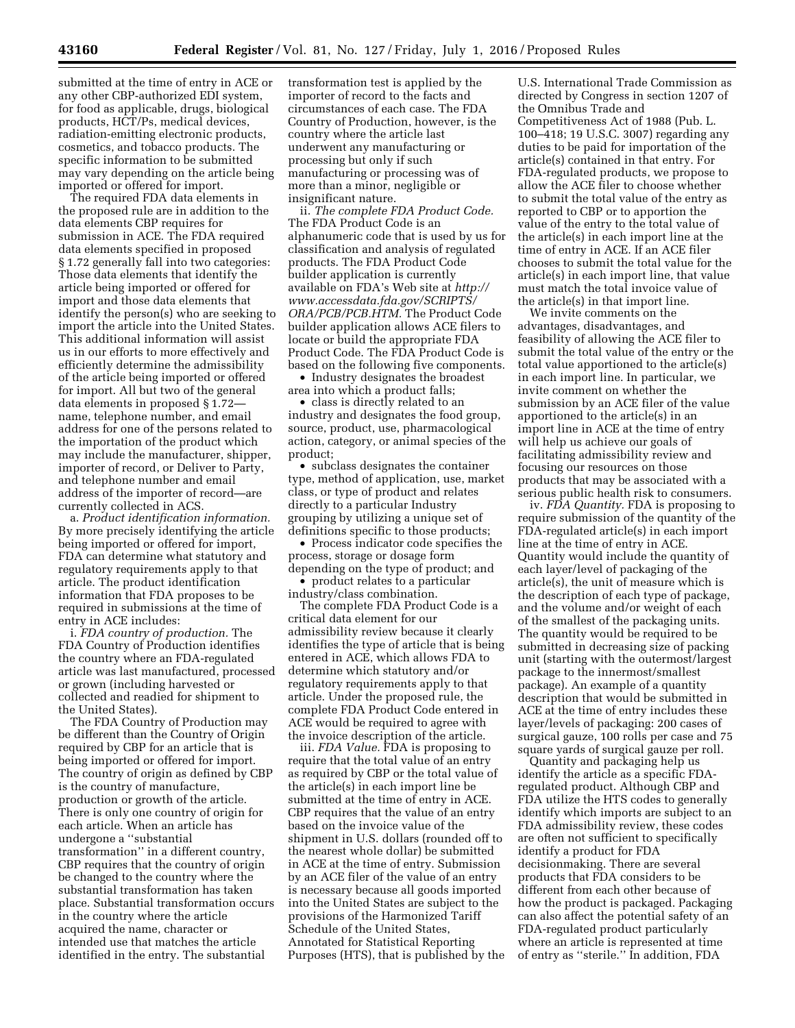submitted at the time of entry in ACE or any other CBP-authorized EDI system, for food as applicable, drugs, biological products, HCT/Ps, medical devices, radiation-emitting electronic products, cosmetics, and tobacco products. The specific information to be submitted may vary depending on the article being imported or offered for import.

The required FDA data elements in the proposed rule are in addition to the data elements CBP requires for submission in ACE. The FDA required data elements specified in proposed § 1.72 generally fall into two categories: Those data elements that identify the article being imported or offered for import and those data elements that identify the person(s) who are seeking to import the article into the United States. This additional information will assist us in our efforts to more effectively and efficiently determine the admissibility of the article being imported or offered for import. All but two of the general data elements in proposed § 1.72 name, telephone number, and email address for one of the persons related to the importation of the product which may include the manufacturer, shipper, importer of record, or Deliver to Party, and telephone number and email address of the importer of record—are currently collected in ACS.

a. *Product identification information.*  By more precisely identifying the article being imported or offered for import, FDA can determine what statutory and regulatory requirements apply to that article. The product identification information that FDA proposes to be required in submissions at the time of entry in ACE includes:

i. *FDA country of production.* The FDA Country of Production identifies the country where an FDA-regulated article was last manufactured, processed or grown (including harvested or collected and readied for shipment to the United States).

The FDA Country of Production may be different than the Country of Origin required by CBP for an article that is being imported or offered for import. The country of origin as defined by CBP is the country of manufacture, production or growth of the article. There is only one country of origin for each article. When an article has undergone a ''substantial transformation'' in a different country, CBP requires that the country of origin be changed to the country where the substantial transformation has taken place. Substantial transformation occurs in the country where the article acquired the name, character or intended use that matches the article identified in the entry. The substantial

transformation test is applied by the importer of record to the facts and circumstances of each case. The FDA Country of Production, however, is the country where the article last underwent any manufacturing or processing but only if such manufacturing or processing was of more than a minor, negligible or insignificant nature.

ii. *The complete FDA Product Code.*  The FDA Product Code is an alphanumeric code that is used by us for classification and analysis of regulated products. The FDA Product Code builder application is currently available on FDA's Web site at *[http://](http://www.accessdata.fda.gov/SCRIPTS/ORA/PCB/PCB.HTM) [www.accessdata.fda.gov/SCRIPTS/](http://www.accessdata.fda.gov/SCRIPTS/ORA/PCB/PCB.HTM) [ORA/PCB/PCB.HTM.](http://www.accessdata.fda.gov/SCRIPTS/ORA/PCB/PCB.HTM)* The Product Code builder application allows ACE filers to locate or build the appropriate FDA Product Code. The FDA Product Code is based on the following five components.

• Industry designates the broadest area into which a product falls;

• class is directly related to an industry and designates the food group, source, product, use, pharmacological action, category, or animal species of the product;

• subclass designates the container type, method of application, use, market class, or type of product and relates directly to a particular Industry grouping by utilizing a unique set of definitions specific to those products;

• Process indicator code specifies the process, storage or dosage form depending on the type of product; and

• product relates to a particular industry/class combination.

The complete FDA Product Code is a critical data element for our admissibility review because it clearly identifies the type of article that is being entered in ACE, which allows FDA to determine which statutory and/or regulatory requirements apply to that article. Under the proposed rule, the complete FDA Product Code entered in ACE would be required to agree with the invoice description of the article.

iii. *FDA Value.* FDA is proposing to require that the total value of an entry as required by CBP or the total value of the article(s) in each import line be submitted at the time of entry in ACE. CBP requires that the value of an entry based on the invoice value of the shipment in U.S. dollars (rounded off to the nearest whole dollar) be submitted in ACE at the time of entry. Submission by an ACE filer of the value of an entry is necessary because all goods imported into the United States are subject to the provisions of the Harmonized Tariff Schedule of the United States, Annotated for Statistical Reporting Purposes (HTS), that is published by the

U.S. International Trade Commission as directed by Congress in section 1207 of the Omnibus Trade and Competitiveness Act of 1988 (Pub. L. 100–418; 19 U.S.C. 3007) regarding any duties to be paid for importation of the article(s) contained in that entry. For FDA-regulated products, we propose to allow the ACE filer to choose whether to submit the total value of the entry as reported to CBP or to apportion the value of the entry to the total value of the article(s) in each import line at the time of entry in ACE. If an ACE filer chooses to submit the total value for the article(s) in each import line, that value must match the total invoice value of the article(s) in that import line.

We invite comments on the advantages, disadvantages, and feasibility of allowing the ACE filer to submit the total value of the entry or the total value apportioned to the article(s) in each import line. In particular, we invite comment on whether the submission by an ACE filer of the value apportioned to the article(s) in an import line in ACE at the time of entry will help us achieve our goals of facilitating admissibility review and focusing our resources on those products that may be associated with a serious public health risk to consumers.

iv. *FDA Quantity.* FDA is proposing to require submission of the quantity of the FDA-regulated article(s) in each import line at the time of entry in ACE. Quantity would include the quantity of each layer/level of packaging of the article(s), the unit of measure which is the description of each type of package, and the volume and/or weight of each of the smallest of the packaging units. The quantity would be required to be submitted in decreasing size of packing unit (starting with the outermost/largest package to the innermost/smallest package). An example of a quantity description that would be submitted in ACE at the time of entry includes these layer/levels of packaging: 200 cases of surgical gauze, 100 rolls per case and 75 square yards of surgical gauze per roll.

Quantity and packaging help us identify the article as a specific FDAregulated product. Although CBP and FDA utilize the HTS codes to generally identify which imports are subject to an FDA admissibility review, these codes are often not sufficient to specifically identify a product for FDA decisionmaking. There are several products that FDA considers to be different from each other because of how the product is packaged. Packaging can also affect the potential safety of an FDA-regulated product particularly where an article is represented at time of entry as ''sterile.'' In addition, FDA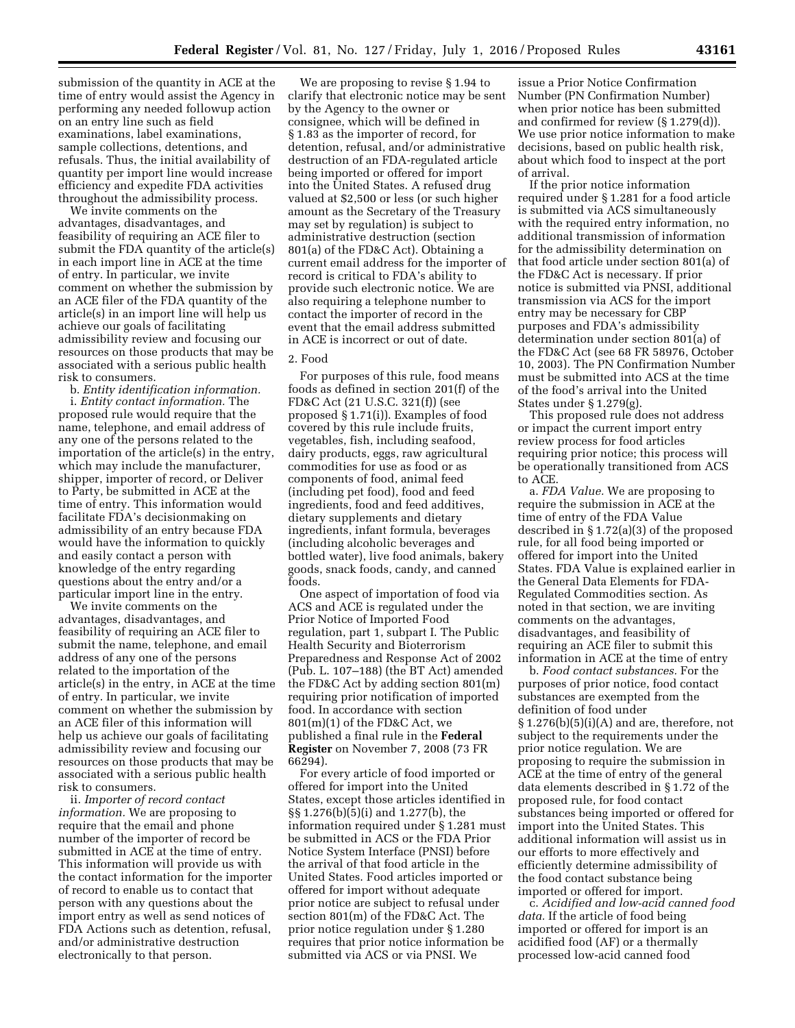submission of the quantity in ACE at the time of entry would assist the Agency in performing any needed followup action on an entry line such as field examinations, label examinations, sample collections, detentions, and refusals. Thus, the initial availability of quantity per import line would increase efficiency and expedite FDA activities throughout the admissibility process.

We invite comments on the advantages, disadvantages, and feasibility of requiring an ACE filer to submit the FDA quantity of the article(s) in each import line in ACE at the time of entry. In particular, we invite comment on whether the submission by an ACE filer of the FDA quantity of the article(s) in an import line will help us achieve our goals of facilitating admissibility review and focusing our resources on those products that may be associated with a serious public health risk to consumers.

b. *Entity identification information.*  i. *Entity contact information.* The proposed rule would require that the name, telephone, and email address of any one of the persons related to the importation of the article(s) in the entry, which may include the manufacturer, shipper, importer of record, or Deliver to Party, be submitted in ACE at the time of entry. This information would facilitate FDA's decisionmaking on admissibility of an entry because FDA would have the information to quickly and easily contact a person with knowledge of the entry regarding questions about the entry and/or a particular import line in the entry.

We invite comments on the advantages, disadvantages, and feasibility of requiring an ACE filer to submit the name, telephone, and email address of any one of the persons related to the importation of the article(s) in the entry, in ACE at the time of entry. In particular, we invite comment on whether the submission by an ACE filer of this information will help us achieve our goals of facilitating admissibility review and focusing our resources on those products that may be associated with a serious public health risk to consumers.

ii. *Importer of record contact information.* We are proposing to require that the email and phone number of the importer of record be submitted in ACE at the time of entry. This information will provide us with the contact information for the importer of record to enable us to contact that person with any questions about the import entry as well as send notices of FDA Actions such as detention, refusal, and/or administrative destruction electronically to that person.

We are proposing to revise § 1.94 to clarify that electronic notice may be sent by the Agency to the owner or consignee, which will be defined in § 1.83 as the importer of record, for detention, refusal, and/or administrative destruction of an FDA-regulated article being imported or offered for import into the United States. A refused drug valued at \$2,500 or less (or such higher amount as the Secretary of the Treasury may set by regulation) is subject to administrative destruction (section 801(a) of the FD&C Act). Obtaining a current email address for the importer of record is critical to FDA's ability to provide such electronic notice. We are also requiring a telephone number to contact the importer of record in the event that the email address submitted in ACE is incorrect or out of date.

## 2. Food

For purposes of this rule, food means foods as defined in section 201(f) of the FD&C Act (21 U.S.C. 321(f)) (see proposed § 1.71(i)). Examples of food covered by this rule include fruits, vegetables, fish, including seafood, dairy products, eggs, raw agricultural commodities for use as food or as components of food, animal feed (including pet food), food and feed ingredients, food and feed additives, dietary supplements and dietary ingredients, infant formula, beverages (including alcoholic beverages and bottled water), live food animals, bakery goods, snack foods, candy, and canned foods.

One aspect of importation of food via ACS and ACE is regulated under the Prior Notice of Imported Food regulation, part 1, subpart I. The Public Health Security and Bioterrorism Preparedness and Response Act of 2002 (Pub. L. 107–188) (the BT Act) amended the FD&C Act by adding section 801(m) requiring prior notification of imported food. In accordance with section 801(m)(1) of the FD&C Act, we published a final rule in the **Federal Register** on November 7, 2008 (73 FR 66294).

For every article of food imported or offered for import into the United States, except those articles identified in §§ 1.276(b)(5)(i) and 1.277(b), the information required under § 1.281 must be submitted in ACS or the FDA Prior Notice System Interface (PNSI) before the arrival of that food article in the United States. Food articles imported or offered for import without adequate prior notice are subject to refusal under section 801(m) of the FD&C Act. The prior notice regulation under § 1.280 requires that prior notice information be submitted via ACS or via PNSI. We

issue a Prior Notice Confirmation Number (PN Confirmation Number) when prior notice has been submitted and confirmed for review (§ 1.279(d)). We use prior notice information to make decisions, based on public health risk, about which food to inspect at the port of arrival.

If the prior notice information required under § 1.281 for a food article is submitted via ACS simultaneously with the required entry information, no additional transmission of information for the admissibility determination on that food article under section 801(a) of the FD&C Act is necessary. If prior notice is submitted via PNSI, additional transmission via ACS for the import entry may be necessary for CBP purposes and FDA's admissibility determination under section 801(a) of the FD&C Act (see 68 FR 58976, October 10, 2003). The PN Confirmation Number must be submitted into ACS at the time of the food's arrival into the United States under § 1.279(g).

This proposed rule does not address or impact the current import entry review process for food articles requiring prior notice; this process will be operationally transitioned from ACS to ACE.

a. *FDA Value.* We are proposing to require the submission in ACE at the time of entry of the FDA Value described in § 1.72(a)(3) of the proposed rule, for all food being imported or offered for import into the United States. FDA Value is explained earlier in the General Data Elements for FDA-Regulated Commodities section. As noted in that section, we are inviting comments on the advantages, disadvantages, and feasibility of requiring an ACE filer to submit this information in ACE at the time of entry

b. *Food contact substances.* For the purposes of prior notice, food contact substances are exempted from the definition of food under  $§ 1.276(b)(5)(i)(A)$  and are, therefore, not subject to the requirements under the prior notice regulation. We are proposing to require the submission in ACE at the time of entry of the general data elements described in § 1.72 of the proposed rule, for food contact substances being imported or offered for import into the United States. This additional information will assist us in our efforts to more effectively and efficiently determine admissibility of the food contact substance being imported or offered for import.

c. *Acidified and low-acid canned food data.* If the article of food being imported or offered for import is an acidified food (AF) or a thermally processed low-acid canned food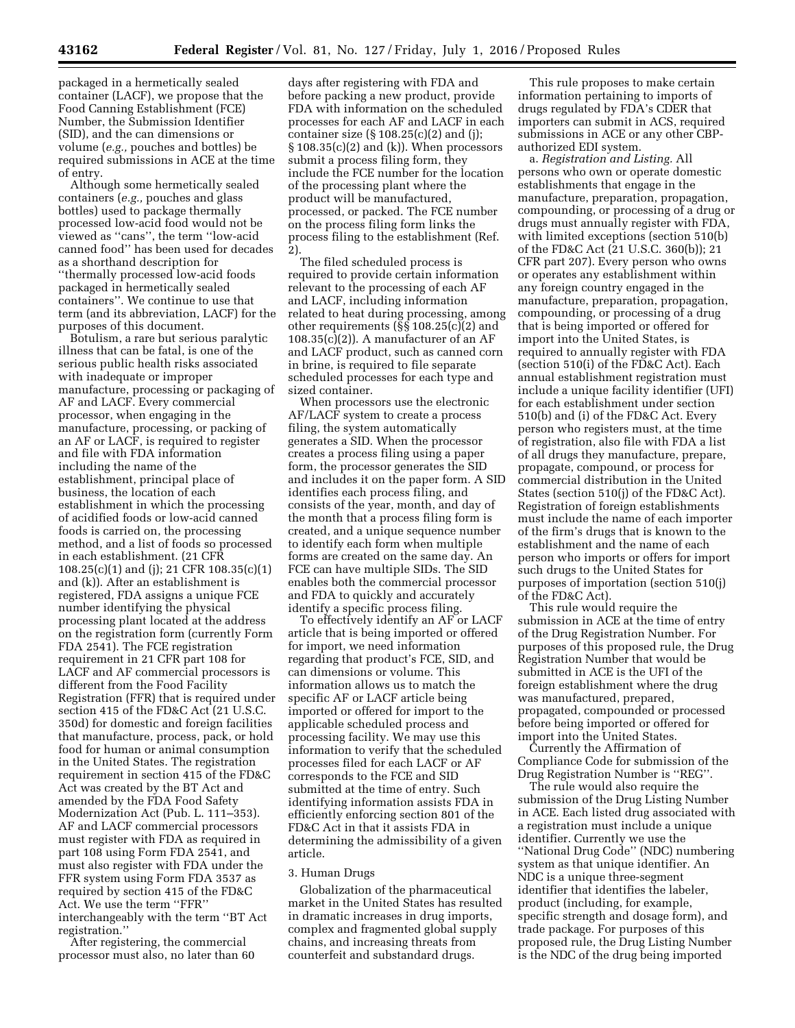packaged in a hermetically sealed container (LACF), we propose that the Food Canning Establishment (FCE) Number, the Submission Identifier (SID), and the can dimensions or volume (*e.g.,* pouches and bottles) be required submissions in ACE at the time of entry.

Although some hermetically sealed containers (*e.g.,* pouches and glass bottles) used to package thermally processed low-acid food would not be viewed as ''cans'', the term ''low-acid canned food'' has been used for decades as a shorthand description for ''thermally processed low-acid foods packaged in hermetically sealed containers''. We continue to use that term (and its abbreviation, LACF) for the purposes of this document.

Botulism, a rare but serious paralytic illness that can be fatal, is one of the serious public health risks associated with inadequate or improper manufacture, processing or packaging of AF and LACF. Every commercial processor, when engaging in the manufacture, processing, or packing of an AF or LACF, is required to register and file with FDA information including the name of the establishment, principal place of business, the location of each establishment in which the processing of acidified foods or low-acid canned foods is carried on, the processing method, and a list of foods so processed in each establishment. (21 CFR 108.25(c)(1) and (j); 21 CFR 108.35(c)(1) and (k)). After an establishment is registered, FDA assigns a unique FCE number identifying the physical processing plant located at the address on the registration form (currently Form FDA 2541). The FCE registration requirement in 21 CFR part 108 for LACF and AF commercial processors is different from the Food Facility Registration (FFR) that is required under section 415 of the FD&C Act (21 U.S.C. 350d) for domestic and foreign facilities that manufacture, process, pack, or hold food for human or animal consumption in the United States. The registration requirement in section 415 of the FD&C Act was created by the BT Act and amended by the FDA Food Safety Modernization Act (Pub. L. 111–353). AF and LACF commercial processors must register with FDA as required in part 108 using Form FDA 2541, and must also register with FDA under the FFR system using Form FDA 3537 as required by section 415 of the FD&C Act. We use the term ''FFR'' interchangeably with the term ''BT Act registration.''

After registering, the commercial processor must also, no later than 60

days after registering with FDA and before packing a new product, provide FDA with information on the scheduled processes for each AF and LACF in each container size (§ 108.25(c)(2) and (j);  $\S 108.35(c)(2)$  and (k)). When processors submit a process filing form, they include the FCE number for the location of the processing plant where the product will be manufactured, processed, or packed. The FCE number on the process filing form links the process filing to the establishment (Ref. 2).

The filed scheduled process is required to provide certain information relevant to the processing of each AF and LACF, including information related to heat during processing, among other requirements (§§ 108.25(c)(2) and  $108.35(c)(2)$ . A manufacturer of an AF and LACF product, such as canned corn in brine, is required to file separate scheduled processes for each type and sized container.

When processors use the electronic AF/LACF system to create a process filing, the system automatically generates a SID. When the processor creates a process filing using a paper form, the processor generates the SID and includes it on the paper form. A SID identifies each process filing, and consists of the year, month, and day of the month that a process filing form is created, and a unique sequence number to identify each form when multiple forms are created on the same day. An FCE can have multiple SIDs. The SID enables both the commercial processor and FDA to quickly and accurately identify a specific process filing.

To effectively identify an AF or LACF article that is being imported or offered for import, we need information regarding that product's FCE, SID, and can dimensions or volume. This information allows us to match the specific AF or LACF article being imported or offered for import to the applicable scheduled process and processing facility. We may use this information to verify that the scheduled processes filed for each LACF or AF corresponds to the FCE and SID submitted at the time of entry. Such identifying information assists FDA in efficiently enforcing section 801 of the FD&C Act in that it assists FDA in determining the admissibility of a given article.

## 3. Human Drugs

Globalization of the pharmaceutical market in the United States has resulted in dramatic increases in drug imports, complex and fragmented global supply chains, and increasing threats from counterfeit and substandard drugs.

This rule proposes to make certain information pertaining to imports of drugs regulated by FDA's CDER that importers can submit in ACS, required submissions in ACE or any other CBPauthorized EDI system.

a. *Registration and Listing.* All persons who own or operate domestic establishments that engage in the manufacture, preparation, propagation, compounding, or processing of a drug or drugs must annually register with FDA, with limited exceptions (section 510(b) of the FD&C Act (21 U.S.C. 360(b)); 21 CFR part 207). Every person who owns or operates any establishment within any foreign country engaged in the manufacture, preparation, propagation, compounding, or processing of a drug that is being imported or offered for import into the United States, is required to annually register with FDA (section 510(i) of the FD&C Act). Each annual establishment registration must include a unique facility identifier (UFI) for each establishment under section 510(b) and (i) of the FD&C Act. Every person who registers must, at the time of registration, also file with FDA a list of all drugs they manufacture, prepare, propagate, compound, or process for commercial distribution in the United States (section 510(j) of the FD&C Act). Registration of foreign establishments must include the name of each importer of the firm's drugs that is known to the establishment and the name of each person who imports or offers for import such drugs to the United States for purposes of importation (section 510(j) of the FD&C Act).

This rule would require the submission in ACE at the time of entry of the Drug Registration Number. For purposes of this proposed rule, the Drug Registration Number that would be submitted in ACE is the UFI of the foreign establishment where the drug was manufactured, prepared, propagated, compounded or processed before being imported or offered for import into the United States.

Currently the Affirmation of Compliance Code for submission of the Drug Registration Number is ''REG''.

The rule would also require the submission of the Drug Listing Number in ACE. Each listed drug associated with a registration must include a unique identifier. Currently we use the ''National Drug Code'' (NDC) numbering system as that unique identifier. An NDC is a unique three-segment identifier that identifies the labeler, product (including, for example, specific strength and dosage form), and trade package. For purposes of this proposed rule, the Drug Listing Number is the NDC of the drug being imported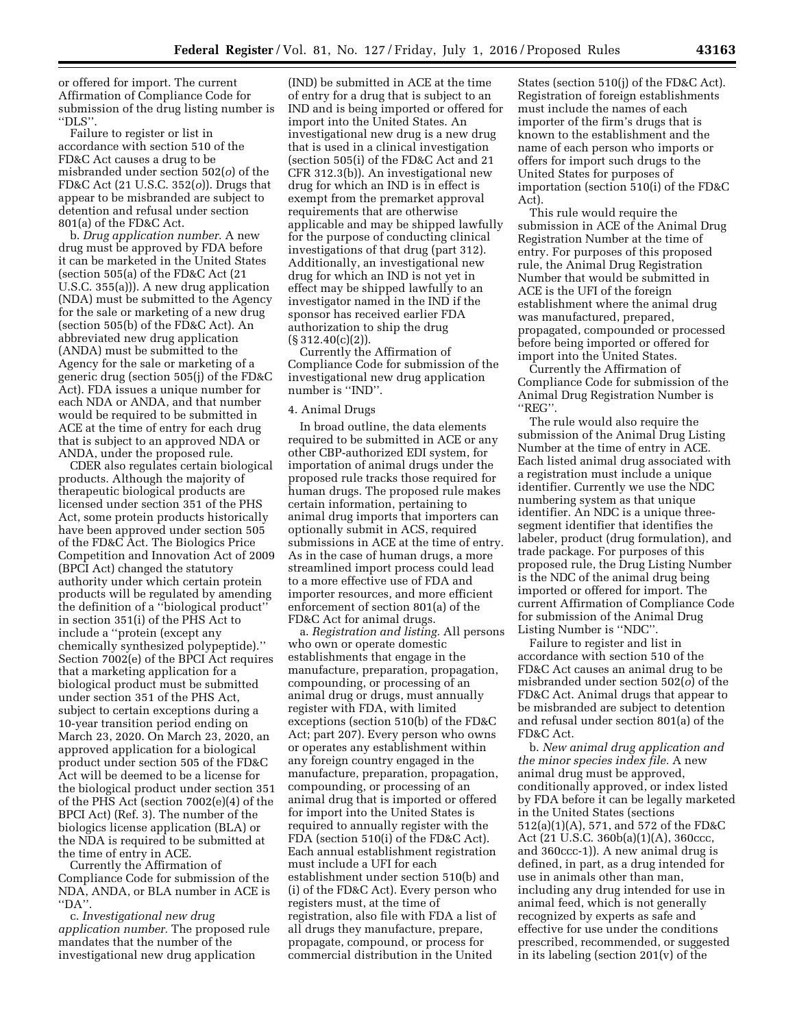or offered for import. The current Affirmation of Compliance Code for submission of the drug listing number is ''DLS''.

Failure to register or list in accordance with section 510 of the FD&C Act causes a drug to be misbranded under section 502(*o*) of the FD&C Act (21 U.S.C. 352(*o*)). Drugs that appear to be misbranded are subject to detention and refusal under section 801(a) of the FD&C Act.

b. *Drug application number.* A new drug must be approved by FDA before it can be marketed in the United States (section 505(a) of the FD&C Act (21 U.S.C. 355(a))). A new drug application (NDA) must be submitted to the Agency for the sale or marketing of a new drug (section 505(b) of the FD&C Act). An abbreviated new drug application (ANDA) must be submitted to the Agency for the sale or marketing of a generic drug (section 505(j) of the FD&C Act). FDA issues a unique number for each NDA or ANDA, and that number would be required to be submitted in ACE at the time of entry for each drug that is subject to an approved NDA or ANDA, under the proposed rule.

CDER also regulates certain biological products. Although the majority of therapeutic biological products are licensed under section 351 of the PHS Act, some protein products historically have been approved under section 505 of the FD&C Act. The Biologics Price Competition and Innovation Act of 2009 (BPCI Act) changed the statutory authority under which certain protein products will be regulated by amending the definition of a ''biological product'' in section 351(i) of the PHS Act to include a ''protein (except any chemically synthesized polypeptide).'' Section 7002(e) of the BPCI Act requires that a marketing application for a biological product must be submitted under section 351 of the PHS Act, subject to certain exceptions during a 10-year transition period ending on March 23, 2020. On March 23, 2020, an approved application for a biological product under section 505 of the FD&C Act will be deemed to be a license for the biological product under section 351 of the PHS Act (section 7002(e)(4) of the BPCI Act) (Ref. 3). The number of the biologics license application (BLA) or the NDA is required to be submitted at the time of entry in ACE.

Currently the Affirmation of Compliance Code for submission of the NDA, ANDA, or BLA number in ACE is ''DA''.

c. *Investigational new drug application number.* The proposed rule mandates that the number of the investigational new drug application

(IND) be submitted in ACE at the time of entry for a drug that is subject to an IND and is being imported or offered for import into the United States. An investigational new drug is a new drug that is used in a clinical investigation (section 505(i) of the FD&C Act and 21 CFR 312.3(b)). An investigational new drug for which an IND is in effect is exempt from the premarket approval requirements that are otherwise applicable and may be shipped lawfully for the purpose of conducting clinical investigations of that drug (part 312). Additionally, an investigational new drug for which an IND is not yet in effect may be shipped lawfully to an investigator named in the IND if the sponsor has received earlier FDA authorization to ship the drug (§ 312.40(c)(2)).

Currently the Affirmation of Compliance Code for submission of the investigational new drug application number is ''IND''.

#### 4. Animal Drugs

In broad outline, the data elements required to be submitted in ACE or any other CBP-authorized EDI system, for importation of animal drugs under the proposed rule tracks those required for human drugs. The proposed rule makes certain information, pertaining to animal drug imports that importers can optionally submit in ACS, required submissions in ACE at the time of entry. As in the case of human drugs, a more streamlined import process could lead to a more effective use of FDA and importer resources, and more efficient enforcement of section 801(a) of the FD&C Act for animal drugs.

a. *Registration and listing.* All persons who own or operate domestic establishments that engage in the manufacture, preparation, propagation, compounding, or processing of an animal drug or drugs, must annually register with FDA, with limited exceptions (section 510(b) of the FD&C Act; part 207). Every person who owns or operates any establishment within any foreign country engaged in the manufacture, preparation, propagation, compounding, or processing of an animal drug that is imported or offered for import into the United States is required to annually register with the FDA (section 510(i) of the FD&C Act). Each annual establishment registration must include a UFI for each establishment under section 510(b) and (i) of the FD&C Act). Every person who registers must, at the time of registration, also file with FDA a list of all drugs they manufacture, prepare, propagate, compound, or process for commercial distribution in the United

States (section 510(j) of the FD&C Act). Registration of foreign establishments must include the names of each importer of the firm's drugs that is known to the establishment and the name of each person who imports or offers for import such drugs to the United States for purposes of importation (section 510(i) of the FD&C Act).

This rule would require the submission in ACE of the Animal Drug Registration Number at the time of entry. For purposes of this proposed rule, the Animal Drug Registration Number that would be submitted in ACE is the UFI of the foreign establishment where the animal drug was manufactured, prepared, propagated, compounded or processed before being imported or offered for import into the United States.

Currently the Affirmation of Compliance Code for submission of the Animal Drug Registration Number is ''REG''.

The rule would also require the submission of the Animal Drug Listing Number at the time of entry in ACE. Each listed animal drug associated with a registration must include a unique identifier. Currently we use the NDC numbering system as that unique identifier. An NDC is a unique threesegment identifier that identifies the labeler, product (drug formulation), and trade package. For purposes of this proposed rule, the Drug Listing Number is the NDC of the animal drug being imported or offered for import. The current Affirmation of Compliance Code for submission of the Animal Drug Listing Number is ''NDC''.

Failure to register and list in accordance with section 510 of the FD&C Act causes an animal drug to be misbranded under section 502(*o*) of the FD&C Act. Animal drugs that appear to be misbranded are subject to detention and refusal under section 801(a) of the FD&C Act.

b. *New animal drug application and the minor species index file.* A new animal drug must be approved, conditionally approved, or index listed by FDA before it can be legally marketed in the United States (sections 512(a)(1)(A), 571, and 572 of the FD&C Act (21 U.S.C. 360b(a)(1)(A), 360ccc, and 360ccc-1)). A new animal drug is defined, in part, as a drug intended for use in animals other than man, including any drug intended for use in animal feed, which is not generally recognized by experts as safe and effective for use under the conditions prescribed, recommended, or suggested in its labeling (section 201(v) of the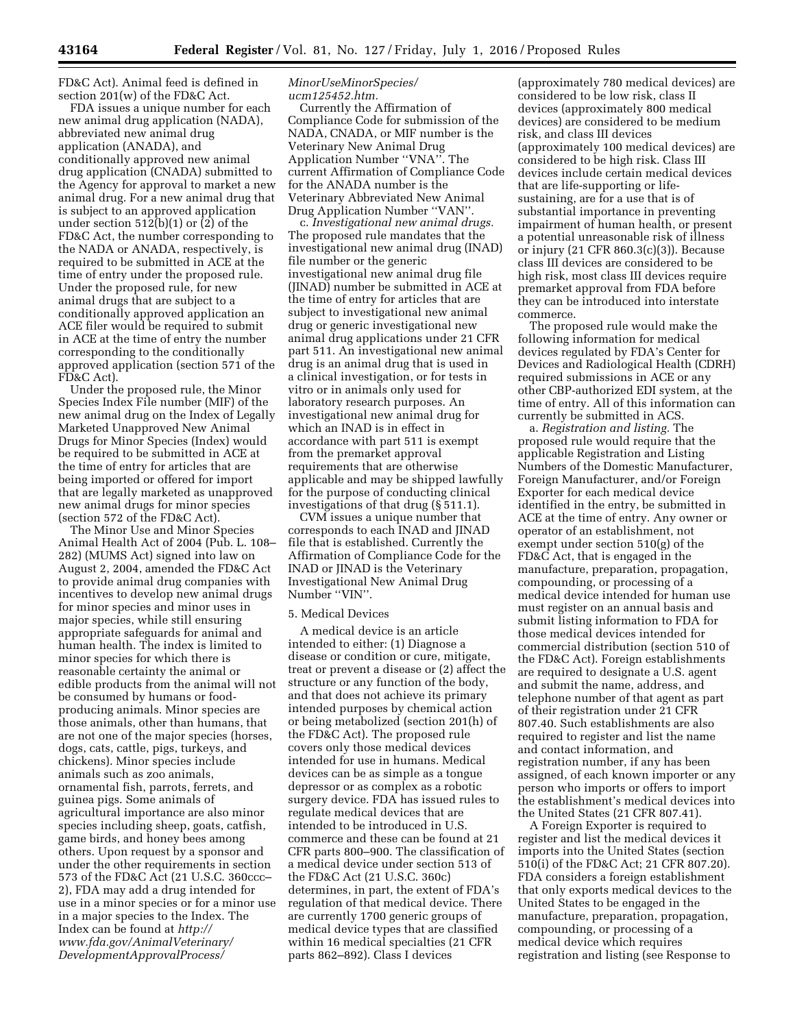FD&C Act). Animal feed is defined in section 201(w) of the FD&C Act.

FDA issues a unique number for each new animal drug application (NADA), abbreviated new animal drug application (ANADA), and conditionally approved new animal drug application (CNADA) submitted to the Agency for approval to market a new animal drug. For a new animal drug that is subject to an approved application under section 512(b)(1) or (2) of the FD&C Act, the number corresponding to the NADA or ANADA, respectively, is required to be submitted in ACE at the time of entry under the proposed rule. Under the proposed rule, for new animal drugs that are subject to a conditionally approved application an ACE filer would be required to submit in ACE at the time of entry the number corresponding to the conditionally approved application (section 571 of the FD&C Act).

Under the proposed rule, the Minor Species Index File number (MIF) of the new animal drug on the Index of Legally Marketed Unapproved New Animal Drugs for Minor Species (Index) would be required to be submitted in ACE at the time of entry for articles that are being imported or offered for import that are legally marketed as unapproved new animal drugs for minor species (section 572 of the FD&C Act).

The Minor Use and Minor Species Animal Health Act of 2004 (Pub. L. 108– 282) (MUMS Act) signed into law on August 2, 2004, amended the FD&C Act to provide animal drug companies with incentives to develop new animal drugs for minor species and minor uses in major species, while still ensuring appropriate safeguards for animal and human health. The index is limited to minor species for which there is reasonable certainty the animal or edible products from the animal will not be consumed by humans or foodproducing animals. Minor species are those animals, other than humans, that are not one of the major species (horses, dogs, cats, cattle, pigs, turkeys, and chickens). Minor species include animals such as zoo animals, ornamental fish, parrots, ferrets, and guinea pigs. Some animals of agricultural importance are also minor species including sheep, goats, catfish, game birds, and honey bees among others. Upon request by a sponsor and under the other requirements in section 573 of the FD&C Act (21 U.S.C. 360ccc– 2), FDA may add a drug intended for use in a minor species or for a minor use in a major species to the Index. The Index can be found at *[http://](http://www.fda.gov/AnimalVeterinary/DevelopmentApprovalProcess/MinorUseMinorSpecies/ucm125452.htm) [www.fda.gov/AnimalVeterinary/](http://www.fda.gov/AnimalVeterinary/DevelopmentApprovalProcess/MinorUseMinorSpecies/ucm125452.htm)  [DevelopmentApprovalProcess/](http://www.fda.gov/AnimalVeterinary/DevelopmentApprovalProcess/MinorUseMinorSpecies/ucm125452.htm)* 

## *[MinorUseMinorSpecies/](http://www.fda.gov/AnimalVeterinary/DevelopmentApprovalProcess/MinorUseMinorSpecies/ucm125452.htm) [ucm125452.htm.](http://www.fda.gov/AnimalVeterinary/DevelopmentApprovalProcess/MinorUseMinorSpecies/ucm125452.htm)*

Currently the Affirmation of Compliance Code for submission of the NADA, CNADA, or MIF number is the Veterinary New Animal Drug Application Number ''VNA''. The current Affirmation of Compliance Code for the ANADA number is the Veterinary Abbreviated New Animal Drug Application Number ''VAN''.

c. *Investigational new animal drugs.*  The proposed rule mandates that the investigational new animal drug (INAD) file number or the generic investigational new animal drug file (JINAD) number be submitted in ACE at the time of entry for articles that are subject to investigational new animal drug or generic investigational new animal drug applications under 21 CFR part 511. An investigational new animal drug is an animal drug that is used in a clinical investigation, or for tests in vitro or in animals only used for laboratory research purposes. An investigational new animal drug for which an INAD is in effect in accordance with part 511 is exempt from the premarket approval requirements that are otherwise applicable and may be shipped lawfully for the purpose of conducting clinical investigations of that drug (§ 511.1).

CVM issues a unique number that corresponds to each INAD and JINAD file that is established. Currently the Affirmation of Compliance Code for the INAD or JINAD is the Veterinary Investigational New Animal Drug Number ''VIN''.

## 5. Medical Devices

A medical device is an article intended to either: (1) Diagnose a disease or condition or cure, mitigate, treat or prevent a disease or (2) affect the structure or any function of the body, and that does not achieve its primary intended purposes by chemical action or being metabolized (section 201(h) of the FD&C Act). The proposed rule covers only those medical devices intended for use in humans. Medical devices can be as simple as a tongue depressor or as complex as a robotic surgery device. FDA has issued rules to regulate medical devices that are intended to be introduced in U.S. commerce and these can be found at 21 CFR parts 800–900. The classification of a medical device under section 513 of the FD&C Act (21 U.S.C. 360c) determines, in part, the extent of FDA's regulation of that medical device. There are currently 1700 generic groups of medical device types that are classified within 16 medical specialties (21 CFR parts 862–892). Class I devices

(approximately 780 medical devices) are considered to be low risk, class II devices (approximately 800 medical devices) are considered to be medium risk, and class III devices (approximately 100 medical devices) are considered to be high risk. Class III devices include certain medical devices that are life-supporting or lifesustaining, are for a use that is of substantial importance in preventing impairment of human health, or present a potential unreasonable risk of illness or injury (21 CFR 860.3(c)(3)). Because class III devices are considered to be high risk, most class III devices require premarket approval from FDA before they can be introduced into interstate commerce.

The proposed rule would make the following information for medical devices regulated by FDA's Center for Devices and Radiological Health (CDRH) required submissions in ACE or any other CBP-authorized EDI system, at the time of entry. All of this information can currently be submitted in ACS.

a. *Registration and listing.* The proposed rule would require that the applicable Registration and Listing Numbers of the Domestic Manufacturer, Foreign Manufacturer, and/or Foreign Exporter for each medical device identified in the entry, be submitted in ACE at the time of entry. Any owner or operator of an establishment, not exempt under section 510(g) of the FD&C Act, that is engaged in the manufacture, preparation, propagation, compounding, or processing of a medical device intended for human use must register on an annual basis and submit listing information to FDA for those medical devices intended for commercial distribution (section 510 of the FD&C Act). Foreign establishments are required to designate a U.S. agent and submit the name, address, and telephone number of that agent as part of their registration under 21 CFR 807.40. Such establishments are also required to register and list the name and contact information, and registration number, if any has been assigned, of each known importer or any person who imports or offers to import the establishment's medical devices into the United States (21 CFR 807.41).

A Foreign Exporter is required to register and list the medical devices it imports into the United States (section 510(i) of the FD&C Act; 21 CFR 807.20). FDA considers a foreign establishment that only exports medical devices to the United States to be engaged in the manufacture, preparation, propagation, compounding, or processing of a medical device which requires registration and listing (see Response to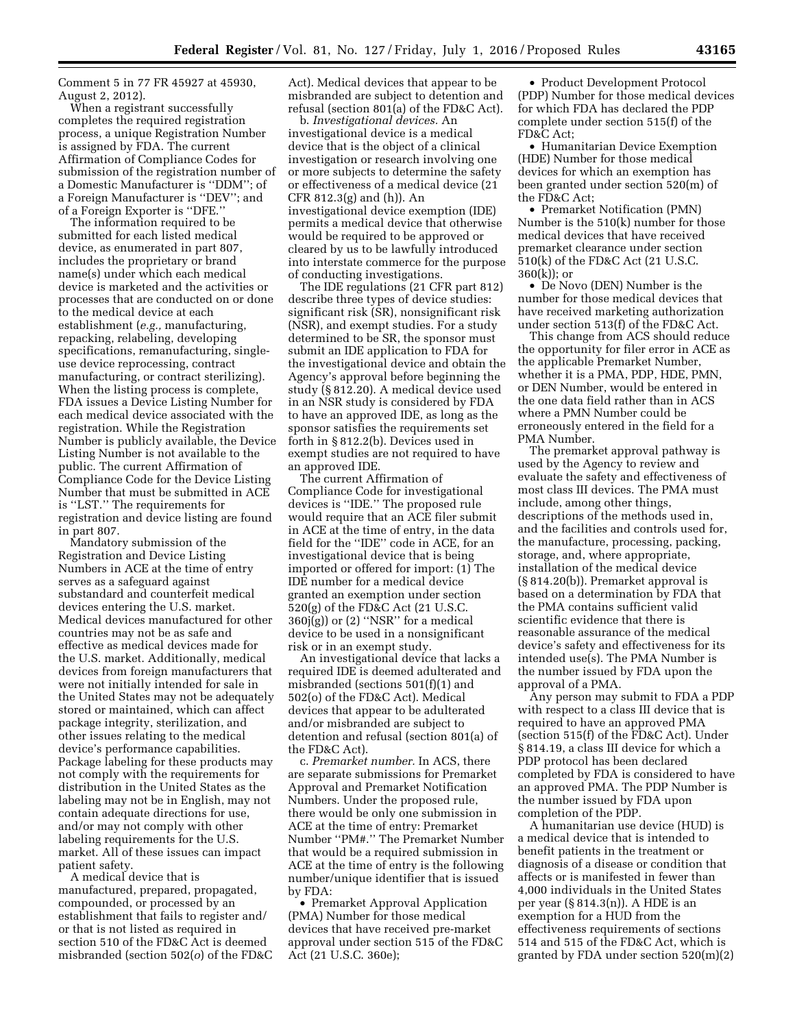Comment 5 in 77 FR 45927 at 45930, August 2, 2012).

When a registrant successfully completes the required registration process, a unique Registration Number is assigned by FDA. The current Affirmation of Compliance Codes for submission of the registration number of a Domestic Manufacturer is ''DDM''; of a Foreign Manufacturer is ''DEV''; and of a Foreign Exporter is ''DFE.''

The information required to be submitted for each listed medical device, as enumerated in part 807, includes the proprietary or brand name(s) under which each medical device is marketed and the activities or processes that are conducted on or done to the medical device at each establishment (*e.g.,* manufacturing, repacking, relabeling, developing specifications, remanufacturing, singleuse device reprocessing, contract manufacturing, or contract sterilizing). When the listing process is complete, FDA issues a Device Listing Number for each medical device associated with the registration. While the Registration Number is publicly available, the Device Listing Number is not available to the public. The current Affirmation of Compliance Code for the Device Listing Number that must be submitted in ACE is ''LST.'' The requirements for registration and device listing are found in part 807.

Mandatory submission of the Registration and Device Listing Numbers in ACE at the time of entry serves as a safeguard against substandard and counterfeit medical devices entering the U.S. market. Medical devices manufactured for other countries may not be as safe and effective as medical devices made for the U.S. market. Additionally, medical devices from foreign manufacturers that were not initially intended for sale in the United States may not be adequately stored or maintained, which can affect package integrity, sterilization, and other issues relating to the medical device's performance capabilities. Package labeling for these products may not comply with the requirements for distribution in the United States as the labeling may not be in English, may not contain adequate directions for use, and/or may not comply with other labeling requirements for the U.S. market. All of these issues can impact patient safety.

A medical device that is manufactured, prepared, propagated, compounded, or processed by an establishment that fails to register and/ or that is not listed as required in section 510 of the FD&C Act is deemed misbranded (section 502(*o*) of the FD&C Act). Medical devices that appear to be misbranded are subject to detention and refusal (section 801(a) of the FD&C Act).

b. *Investigational devices.* An investigational device is a medical device that is the object of a clinical investigation or research involving one or more subjects to determine the safety or effectiveness of a medical device (21 CFR 812.3(g) and (h)). An investigational device exemption (IDE) permits a medical device that otherwise would be required to be approved or cleared by us to be lawfully introduced into interstate commerce for the purpose of conducting investigations.

The IDE regulations (21 CFR part 812) describe three types of device studies: significant risk (SR), nonsignificant risk (NSR), and exempt studies. For a study determined to be SR, the sponsor must submit an IDE application to FDA for the investigational device and obtain the Agency's approval before beginning the study (§ 812.20). A medical device used in an NSR study is considered by FDA to have an approved IDE, as long as the sponsor satisfies the requirements set forth in § 812.2(b). Devices used in exempt studies are not required to have an approved IDE.

The current Affirmation of Compliance Code for investigational devices is ''IDE.'' The proposed rule would require that an ACE filer submit in ACE at the time of entry, in the data field for the ''IDE'' code in ACE, for an investigational device that is being imported or offered for import: (1) The IDE number for a medical device granted an exemption under section 520(g) of the FD&C Act (21 U.S.C.  $360j(g)$  or  $(2)$  "NSR" for a medical device to be used in a nonsignificant risk or in an exempt study.

An investigational device that lacks a required IDE is deemed adulterated and misbranded (sections 501(f)(1) and 502(o) of the FD&C Act). Medical devices that appear to be adulterated and/or misbranded are subject to detention and refusal (section 801(a) of the FD&C Act).

c. *Premarket number.* In ACS, there are separate submissions for Premarket Approval and Premarket Notification Numbers. Under the proposed rule, there would be only one submission in ACE at the time of entry: Premarket Number ''PM#.'' The Premarket Number that would be a required submission in ACE at the time of entry is the following number/unique identifier that is issued by FDA:

• Premarket Approval Application (PMA) Number for those medical devices that have received pre-market approval under section 515 of the FD&C Act (21 U.S.C. 360e);

• Product Development Protocol (PDP) Number for those medical devices for which FDA has declared the PDP complete under section 515(f) of the FD&C Act;

• Humanitarian Device Exemption (HDE) Number for those medical devices for which an exemption has been granted under section 520(m) of the FD&C Act;

• Premarket Notification (PMN) Number is the 510(k) number for those medical devices that have received premarket clearance under section 510(k) of the FD&C Act (21 U.S.C. 360(k)); or

• De Novo (DEN) Number is the number for those medical devices that have received marketing authorization under section 513(f) of the FD&C Act.

This change from ACS should reduce the opportunity for filer error in ACE as the applicable Premarket Number, whether it is a PMA, PDP, HDE, PMN, or DEN Number, would be entered in the one data field rather than in ACS where a PMN Number could be erroneously entered in the field for a PMA Number.

The premarket approval pathway is used by the Agency to review and evaluate the safety and effectiveness of most class III devices. The PMA must include, among other things, descriptions of the methods used in, and the facilities and controls used for, the manufacture, processing, packing, storage, and, where appropriate, installation of the medical device (§ 814.20(b)). Premarket approval is based on a determination by FDA that the PMA contains sufficient valid scientific evidence that there is reasonable assurance of the medical device's safety and effectiveness for its intended use(s). The PMA Number is the number issued by FDA upon the approval of a PMA.

Any person may submit to FDA a PDP with respect to a class III device that is required to have an approved PMA (section 515(f) of the FD&C Act). Under § 814.19, a class III device for which a PDP protocol has been declared completed by FDA is considered to have an approved PMA. The PDP Number is the number issued by FDA upon completion of the PDP.

A humanitarian use device (HUD) is a medical device that is intended to benefit patients in the treatment or diagnosis of a disease or condition that affects or is manifested in fewer than 4,000 individuals in the United States per year (§ 814.3(n)). A HDE is an exemption for a HUD from the effectiveness requirements of sections 514 and 515 of the FD&C Act, which is granted by FDA under section 520(m)(2)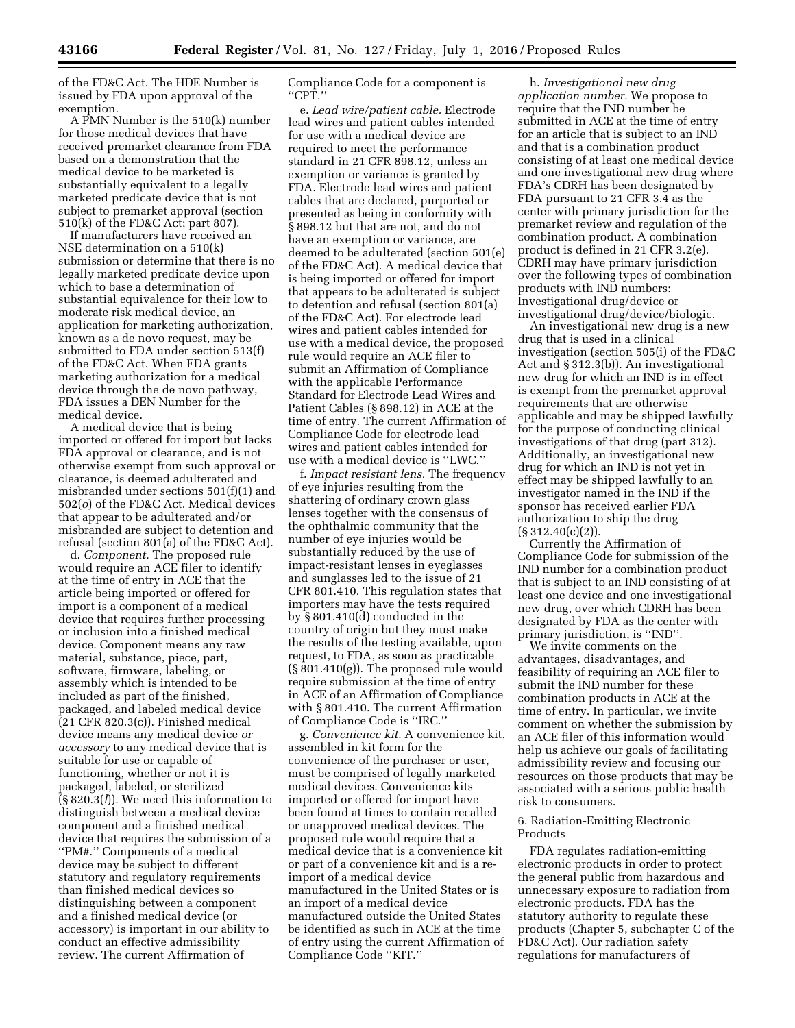of the FD&C Act. The HDE Number is issued by FDA upon approval of the exemption.

A PMN Number is the 510(k) number for those medical devices that have received premarket clearance from FDA based on a demonstration that the medical device to be marketed is substantially equivalent to a legally marketed predicate device that is not subject to premarket approval (section 510(k) of the FD&C Act; part 807).

If manufacturers have received an NSE determination on a 510(k) submission or determine that there is no legally marketed predicate device upon which to base a determination of substantial equivalence for their low to moderate risk medical device, an application for marketing authorization, known as a de novo request, may be submitted to FDA under section 513(f) of the FD&C Act. When FDA grants marketing authorization for a medical device through the de novo pathway, FDA issues a DEN Number for the medical device.

A medical device that is being imported or offered for import but lacks FDA approval or clearance, and is not otherwise exempt from such approval or clearance, is deemed adulterated and misbranded under sections 501(f)(1) and 502(*o*) of the FD&C Act. Medical devices that appear to be adulterated and/or misbranded are subject to detention and refusal (section 801(a) of the FD&C Act).

d. *Component.* The proposed rule would require an ACE filer to identify at the time of entry in ACE that the article being imported or offered for import is a component of a medical device that requires further processing or inclusion into a finished medical device. Component means any raw material, substance, piece, part, software, firmware, labeling, or assembly which is intended to be included as part of the finished, packaged, and labeled medical device (21 CFR 820.3(c)). Finished medical device means any medical device *or accessory* to any medical device that is suitable for use or capable of functioning, whether or not it is packaged, labeled, or sterilized (§ 820.3(*l*)). We need this information to distinguish between a medical device component and a finished medical device that requires the submission of a ''PM#.'' Components of a medical device may be subject to different statutory and regulatory requirements than finished medical devices so distinguishing between a component and a finished medical device (or accessory) is important in our ability to conduct an effective admissibility review. The current Affirmation of

Compliance Code for a component is ''CPT.''

e. *Lead wire/patient cable.* Electrode lead wires and patient cables intended for use with a medical device are required to meet the performance standard in 21 CFR 898.12, unless an exemption or variance is granted by FDA. Electrode lead wires and patient cables that are declared, purported or presented as being in conformity with § 898.12 but that are not, and do not have an exemption or variance, are deemed to be adulterated (section 501(e) of the FD&C Act). A medical device that is being imported or offered for import that appears to be adulterated is subject to detention and refusal (section 801(a) of the FD&C Act). For electrode lead wires and patient cables intended for use with a medical device, the proposed rule would require an ACE filer to submit an Affirmation of Compliance with the applicable Performance Standard for Electrode Lead Wires and Patient Cables (§ 898.12) in ACE at the time of entry. The current Affirmation of Compliance Code for electrode lead wires and patient cables intended for use with a medical device is ''LWC.''

f. *Impact resistant lens.* The frequency of eye injuries resulting from the shattering of ordinary crown glass lenses together with the consensus of the ophthalmic community that the number of eye injuries would be substantially reduced by the use of impact-resistant lenses in eyeglasses and sunglasses led to the issue of 21 CFR 801.410. This regulation states that importers may have the tests required by § 801.410(d) conducted in the country of origin but they must make the results of the testing available, upon request, to FDA, as soon as practicable (§ 801.410(g)). The proposed rule would require submission at the time of entry in ACE of an Affirmation of Compliance with § 801.410. The current Affirmation of Compliance Code is ''IRC.''

g. *Convenience kit.* A convenience kit, assembled in kit form for the convenience of the purchaser or user, must be comprised of legally marketed medical devices. Convenience kits imported or offered for import have been found at times to contain recalled or unapproved medical devices. The proposed rule would require that a medical device that is a convenience kit or part of a convenience kit and is a reimport of a medical device manufactured in the United States or is an import of a medical device manufactured outside the United States be identified as such in ACE at the time of entry using the current Affirmation of Compliance Code ''KIT.''

h. *Investigational new drug application number.* We propose to require that the IND number be submitted in ACE at the time of entry for an article that is subject to an IND and that is a combination product consisting of at least one medical device and one investigational new drug where FDA's CDRH has been designated by FDA pursuant to 21 CFR 3.4 as the center with primary jurisdiction for the premarket review and regulation of the combination product. A combination product is defined in 21 CFR 3.2(e). CDRH may have primary jurisdiction over the following types of combination products with IND numbers: Investigational drug/device or investigational drug/device/biologic.

An investigational new drug is a new drug that is used in a clinical investigation (section 505(i) of the FD&C Act and § 312.3(b)). An investigational new drug for which an IND is in effect is exempt from the premarket approval requirements that are otherwise applicable and may be shipped lawfully for the purpose of conducting clinical investigations of that drug (part 312). Additionally, an investigational new drug for which an IND is not yet in effect may be shipped lawfully to an investigator named in the IND if the sponsor has received earlier FDA authorization to ship the drug (§ 312.40(c)(2)).

Currently the Affirmation of Compliance Code for submission of the IND number for a combination product that is subject to an IND consisting of at least one device and one investigational new drug, over which CDRH has been designated by FDA as the center with primary jurisdiction, is ''IND''.

We invite comments on the advantages, disadvantages, and feasibility of requiring an ACE filer to submit the IND number for these combination products in ACE at the time of entry. In particular, we invite comment on whether the submission by an ACE filer of this information would help us achieve our goals of facilitating admissibility review and focusing our resources on those products that may be associated with a serious public health risk to consumers.

# 6. Radiation-Emitting Electronic Products

FDA regulates radiation-emitting electronic products in order to protect the general public from hazardous and unnecessary exposure to radiation from electronic products. FDA has the statutory authority to regulate these products (Chapter 5, subchapter C of the FD&C Act). Our radiation safety regulations for manufacturers of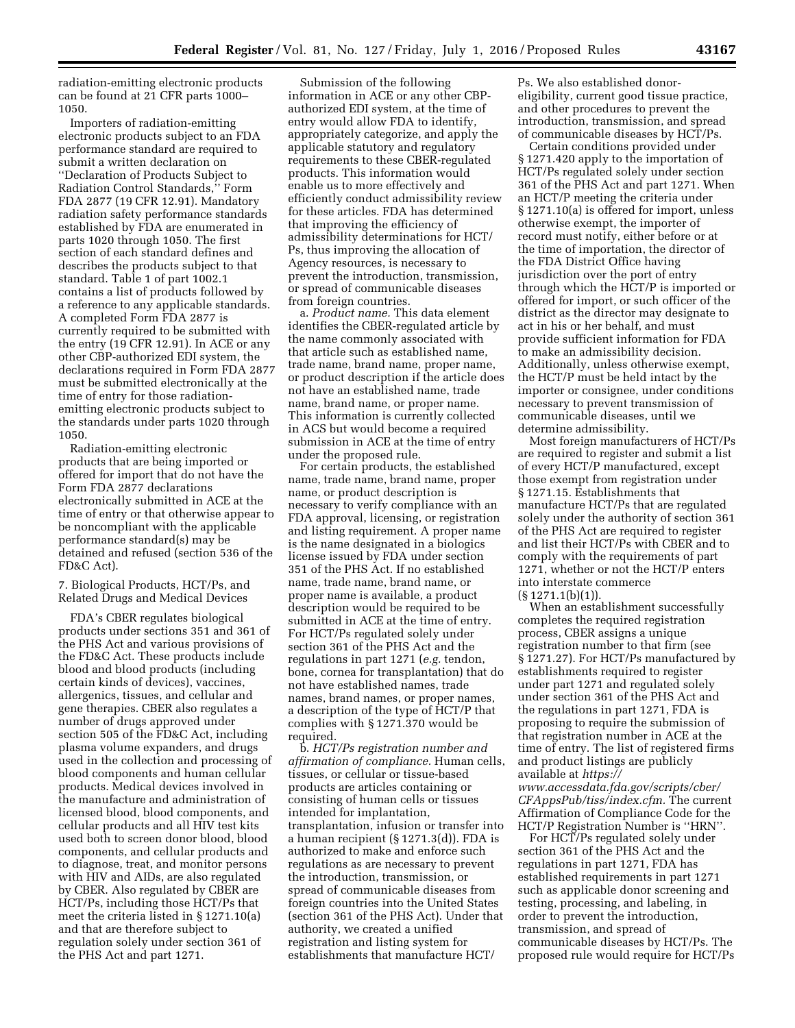radiation-emitting electronic products can be found at 21 CFR parts 1000– 1050.

Importers of radiation-emitting electronic products subject to an FDA performance standard are required to submit a written declaration on ''Declaration of Products Subject to Radiation Control Standards,'' Form FDA 2877 (19 CFR 12.91). Mandatory radiation safety performance standards established by FDA are enumerated in parts 1020 through 1050. The first section of each standard defines and describes the products subject to that standard. Table 1 of part 1002.1 contains a list of products followed by a reference to any applicable standards. A completed Form FDA 2877 is currently required to be submitted with the entry (19 CFR 12.91). In ACE or any other CBP-authorized EDI system, the declarations required in Form FDA 2877 must be submitted electronically at the time of entry for those radiationemitting electronic products subject to the standards under parts 1020 through 1050.

Radiation-emitting electronic products that are being imported or offered for import that do not have the Form FDA 2877 declarations electronically submitted in ACE at the time of entry or that otherwise appear to be noncompliant with the applicable performance standard(s) may be detained and refused (section 536 of the FD&C Act).

# 7. Biological Products, HCT/Ps, and Related Drugs and Medical Devices

FDA's CBER regulates biological products under sections 351 and 361 of the PHS Act and various provisions of the FD&C Act. These products include blood and blood products (including certain kinds of devices), vaccines, allergenics, tissues, and cellular and gene therapies. CBER also regulates a number of drugs approved under section 505 of the FD&C Act, including plasma volume expanders, and drugs used in the collection and processing of blood components and human cellular products. Medical devices involved in the manufacture and administration of licensed blood, blood components, and cellular products and all HIV test kits used both to screen donor blood, blood components, and cellular products and to diagnose, treat, and monitor persons with HIV and AIDs, are also regulated by CBER. Also regulated by CBER are HCT/Ps, including those HCT/Ps that meet the criteria listed in § 1271.10(a) and that are therefore subject to regulation solely under section 361 of the PHS Act and part 1271.

Submission of the following information in ACE or any other CBPauthorized EDI system, at the time of entry would allow FDA to identify, appropriately categorize, and apply the applicable statutory and regulatory requirements to these CBER-regulated products. This information would enable us to more effectively and efficiently conduct admissibility review for these articles. FDA has determined that improving the efficiency of admissibility determinations for HCT/ Ps, thus improving the allocation of Agency resources, is necessary to prevent the introduction, transmission, or spread of communicable diseases from foreign countries.

a. *Product name.* This data element identifies the CBER-regulated article by the name commonly associated with that article such as established name, trade name, brand name, proper name, or product description if the article does not have an established name, trade name, brand name, or proper name. This information is currently collected in ACS but would become a required submission in ACE at the time of entry under the proposed rule.

For certain products, the established name, trade name, brand name, proper name, or product description is necessary to verify compliance with an FDA approval, licensing, or registration and listing requirement. A proper name is the name designated in a biologics license issued by FDA under section 351 of the PHS Act. If no established name, trade name, brand name, or proper name is available, a product description would be required to be submitted in ACE at the time of entry. For HCT/Ps regulated solely under section 361 of the PHS Act and the regulations in part 1271 (*e.g.* tendon, bone, cornea for transplantation) that do not have established names, trade names, brand names, or proper names, a description of the type of HCT/P that complies with § 1271.370 would be required.

b. *HCT/Ps registration number and affirmation of compliance.* Human cells, tissues, or cellular or tissue-based products are articles containing or consisting of human cells or tissues intended for implantation, transplantation, infusion or transfer into a human recipient (§ 1271.3(d)). FDA is authorized to make and enforce such regulations as are necessary to prevent the introduction, transmission, or spread of communicable diseases from foreign countries into the United States (section 361 of the PHS Act). Under that authority, we created a unified registration and listing system for establishments that manufacture HCT/

Ps. We also established donoreligibility, current good tissue practice, and other procedures to prevent the introduction, transmission, and spread of communicable diseases by HCT/Ps.

Certain conditions provided under § 1271.420 apply to the importation of HCT/Ps regulated solely under section 361 of the PHS Act and part 1271. When an HCT/P meeting the criteria under § 1271.10(a) is offered for import, unless otherwise exempt, the importer of record must notify, either before or at the time of importation, the director of the FDA District Office having jurisdiction over the port of entry through which the HCT/P is imported or offered for import, or such officer of the district as the director may designate to act in his or her behalf, and must provide sufficient information for FDA to make an admissibility decision. Additionally, unless otherwise exempt, the HCT/P must be held intact by the importer or consignee, under conditions necessary to prevent transmission of communicable diseases, until we determine admissibility.

Most foreign manufacturers of HCT/Ps are required to register and submit a list of every HCT/P manufactured, except those exempt from registration under § 1271.15. Establishments that manufacture HCT/Ps that are regulated solely under the authority of section 361 of the PHS Act are required to register and list their HCT/Ps with CBER and to comply with the requirements of part 1271, whether or not the HCT/P enters into interstate commerce  $(S 1271.1(b)(1))$ .

When an establishment successfully completes the required registration process, CBER assigns a unique registration number to that firm (see § 1271.27). For HCT/Ps manufactured by establishments required to register under part 1271 and regulated solely under section 361 of the PHS Act and the regulations in part 1271, FDA is proposing to require the submission of that registration number in ACE at the time of entry. The list of registered firms and product listings are publicly available at *[https://](https://www.accessdata.fda.gov/scripts/cber/CFAppsPub/tiss/index.cfm)  [www.accessdata.fda.gov/scripts/cber/](https://www.accessdata.fda.gov/scripts/cber/CFAppsPub/tiss/index.cfm)* 

*[CFAppsPub/tiss/index.cfm.](https://www.accessdata.fda.gov/scripts/cber/CFAppsPub/tiss/index.cfm)* The current Affirmation of Compliance Code for the HCT/P Registration Number is ''HRN''.

For HCT/Ps regulated solely under section 361 of the PHS Act and the regulations in part 1271, FDA has established requirements in part 1271 such as applicable donor screening and testing, processing, and labeling, in order to prevent the introduction, transmission, and spread of communicable diseases by HCT/Ps. The proposed rule would require for HCT/Ps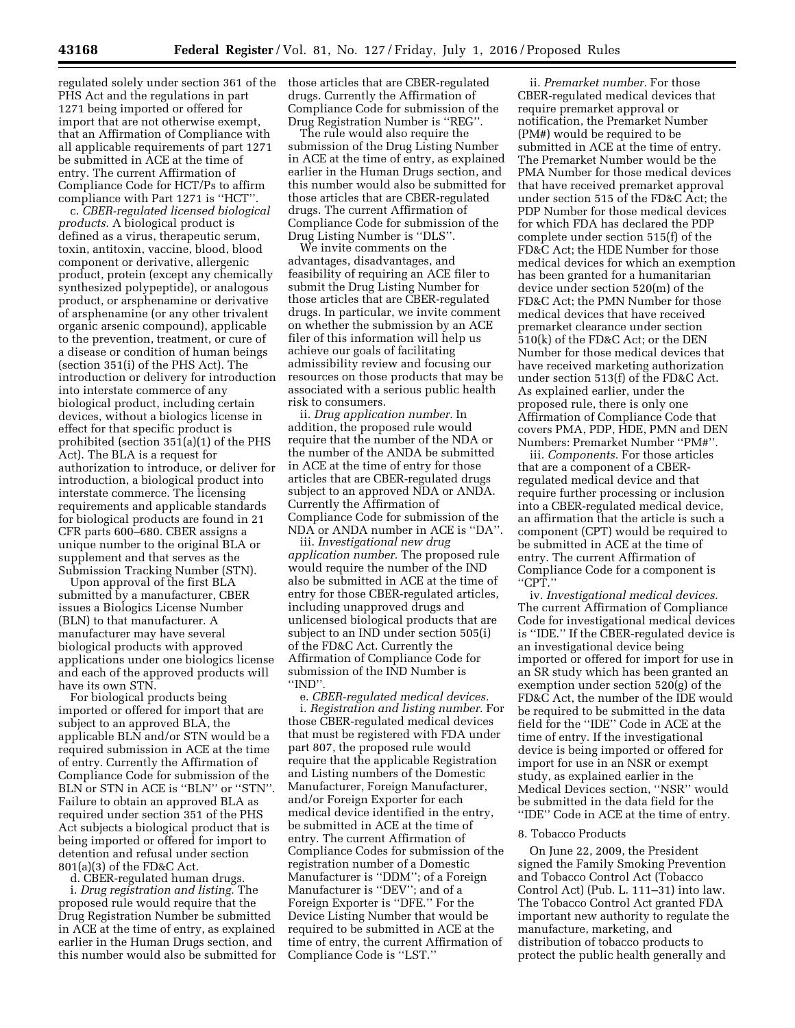regulated solely under section 361 of the PHS Act and the regulations in part 1271 being imported or offered for import that are not otherwise exempt, that an Affirmation of Compliance with all applicable requirements of part 1271 be submitted in ACE at the time of entry. The current Affirmation of

Compliance Code for HCT/Ps to affirm compliance with Part 1271 is ''HCT''. c. *CBER-regulated licensed biological products.* A biological product is defined as a virus, therapeutic serum, toxin, antitoxin, vaccine, blood, blood component or derivative, allergenic product, protein (except any chemically synthesized polypeptide), or analogous product, or arsphenamine or derivative of arsphenamine (or any other trivalent organic arsenic compound), applicable to the prevention, treatment, or cure of a disease or condition of human beings (section 351(i) of the PHS Act). The introduction or delivery for introduction into interstate commerce of any biological product, including certain devices, without a biologics license in effect for that specific product is prohibited (section 351(a)(1) of the PHS Act). The BLA is a request for authorization to introduce, or deliver for introduction, a biological product into interstate commerce. The licensing requirements and applicable standards for biological products are found in 21 CFR parts 600–680. CBER assigns a unique number to the original BLA or supplement and that serves as the Submission Tracking Number (STN).

Upon approval of the first BLA submitted by a manufacturer, CBER issues a Biologics License Number (BLN) to that manufacturer. A manufacturer may have several biological products with approved applications under one biologics license and each of the approved products will have its own STN.

For biological products being imported or offered for import that are subject to an approved BLA, the applicable BLN and/or STN would be a required submission in ACE at the time of entry. Currently the Affirmation of Compliance Code for submission of the BLN or STN in ACE is ''BLN'' or ''STN''. Failure to obtain an approved BLA as required under section 351 of the PHS Act subjects a biological product that is being imported or offered for import to detention and refusal under section 801(a)(3) of the FD&C Act.

d. CBER-regulated human drugs. i. *Drug registration and listing.* The proposed rule would require that the Drug Registration Number be submitted in ACE at the time of entry, as explained earlier in the Human Drugs section, and this number would also be submitted for those articles that are CBER-regulated drugs. Currently the Affirmation of Compliance Code for submission of the Drug Registration Number is ''REG''.

The rule would also require the submission of the Drug Listing Number in ACE at the time of entry, as explained earlier in the Human Drugs section, and this number would also be submitted for those articles that are CBER-regulated drugs. The current Affirmation of Compliance Code for submission of the Drug Listing Number is ''DLS''.

We invite comments on the advantages, disadvantages, and feasibility of requiring an ACE filer to submit the Drug Listing Number for those articles that are CBER-regulated drugs. In particular, we invite comment on whether the submission by an ACE filer of this information will help us achieve our goals of facilitating admissibility review and focusing our resources on those products that may be associated with a serious public health risk to consumers.

ii. *Drug application number.* In addition, the proposed rule would require that the number of the NDA or the number of the ANDA be submitted in ACE at the time of entry for those articles that are CBER-regulated drugs subject to an approved NDA or ANDA. Currently the Affirmation of Compliance Code for submission of the NDA or ANDA number in ACE is ''DA''.

iii. *Investigational new drug application number.* The proposed rule would require the number of the IND also be submitted in ACE at the time of entry for those CBER-regulated articles, including unapproved drugs and unlicensed biological products that are subject to an IND under section 505(i) of the FD&C Act. Currently the Affirmation of Compliance Code for submission of the IND Number is ''IND''.

e. *CBER-regulated medical devices.*  i. *Registration and listing number.* For those CBER-regulated medical devices that must be registered with FDA under part 807, the proposed rule would require that the applicable Registration and Listing numbers of the Domestic Manufacturer, Foreign Manufacturer, and/or Foreign Exporter for each medical device identified in the entry, be submitted in ACE at the time of entry. The current Affirmation of Compliance Codes for submission of the registration number of a Domestic Manufacturer is ''DDM''; of a Foreign Manufacturer is ''DEV''; and of a Foreign Exporter is ''DFE.'' For the Device Listing Number that would be required to be submitted in ACE at the time of entry, the current Affirmation of Compliance Code is ''LST.''

ii. *Premarket number.* For those CBER-regulated medical devices that require premarket approval or notification, the Premarket Number (PM#) would be required to be submitted in ACE at the time of entry. The Premarket Number would be the PMA Number for those medical devices that have received premarket approval under section 515 of the FD&C Act; the PDP Number for those medical devices for which FDA has declared the PDP complete under section 515(f) of the FD&C Act; the HDE Number for those medical devices for which an exemption has been granted for a humanitarian device under section 520(m) of the FD&C Act; the PMN Number for those medical devices that have received premarket clearance under section 510(k) of the FD&C Act; or the DEN Number for those medical devices that have received marketing authorization under section 513(f) of the FD&C Act. As explained earlier, under the proposed rule, there is only one Affirmation of Compliance Code that covers PMA, PDP, HDE, PMN and DEN Numbers: Premarket Number ''PM#''.

iii. *Components.* For those articles that are a component of a CBERregulated medical device and that require further processing or inclusion into a CBER-regulated medical device, an affirmation that the article is such a component (CPT) would be required to be submitted in ACE at the time of entry. The current Affirmation of Compliance Code for a component is ''CPT.''

iv. *Investigational medical devices.*  The current Affirmation of Compliance Code for investigational medical devices is ''IDE.'' If the CBER-regulated device is an investigational device being imported or offered for import for use in an SR study which has been granted an exemption under section 520(g) of the FD&C Act, the number of the IDE would be required to be submitted in the data field for the ''IDE'' Code in ACE at the time of entry. If the investigational device is being imported or offered for import for use in an NSR or exempt study, as explained earlier in the Medical Devices section, ''NSR'' would be submitted in the data field for the ''IDE'' Code in ACE at the time of entry.

## 8. Tobacco Products

On June 22, 2009, the President signed the Family Smoking Prevention and Tobacco Control Act (Tobacco Control Act) (Pub. L. 111–31) into law. The Tobacco Control Act granted FDA important new authority to regulate the manufacture, marketing, and distribution of tobacco products to protect the public health generally and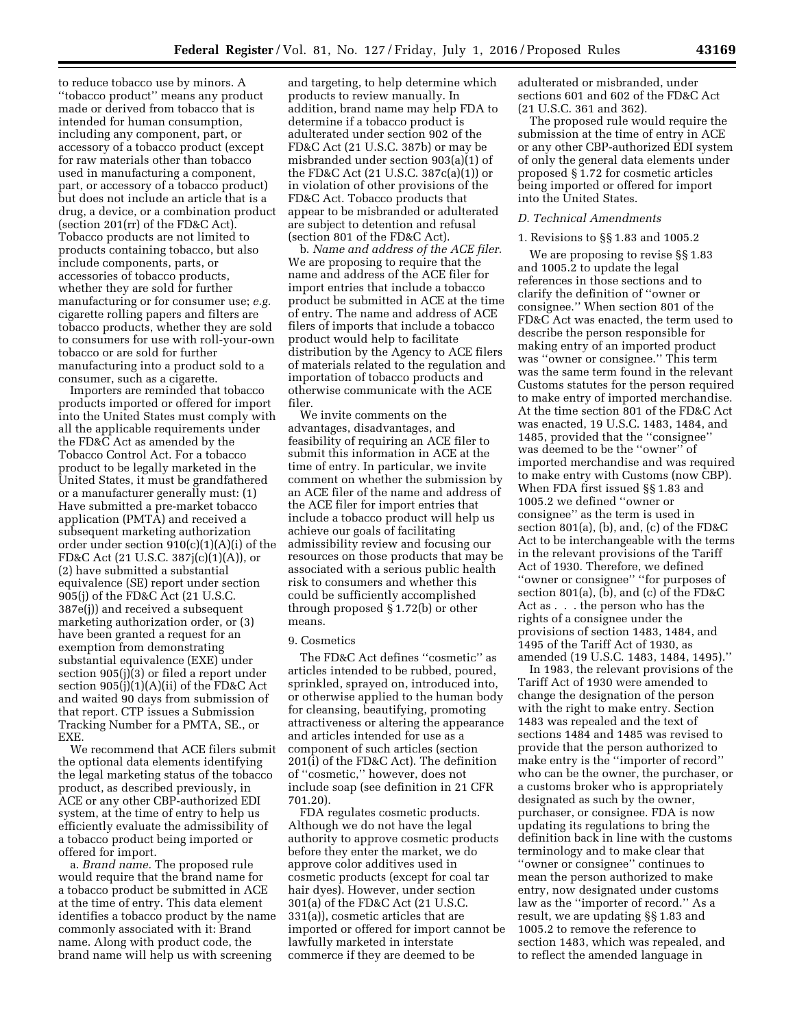to reduce tobacco use by minors. A ''tobacco product'' means any product made or derived from tobacco that is intended for human consumption, including any component, part, or accessory of a tobacco product (except for raw materials other than tobacco used in manufacturing a component, part, or accessory of a tobacco product) but does not include an article that is a drug, a device, or a combination product (section 201(rr) of the FD&C Act). Tobacco products are not limited to products containing tobacco, but also include components, parts, or accessories of tobacco products, whether they are sold for further manufacturing or for consumer use; *e.g.*  cigarette rolling papers and filters are tobacco products, whether they are sold to consumers for use with roll-your-own tobacco or are sold for further manufacturing into a product sold to a consumer, such as a cigarette.

Importers are reminded that tobacco products imported or offered for import into the United States must comply with all the applicable requirements under the FD&C Act as amended by the Tobacco Control Act. For a tobacco product to be legally marketed in the United States, it must be grandfathered or a manufacturer generally must: (1) Have submitted a pre-market tobacco application (PMTA) and received a subsequent marketing authorization order under section 910(c)(1)(A)(i) of the FD&C Act (21 U.S.C. 387j(c)(1)(A)), or (2) have submitted a substantial equivalence (SE) report under section 905(j) of the FD&C Act (21 U.S.C. 387e(j)) and received a subsequent marketing authorization order, or (3) have been granted a request for an exemption from demonstrating substantial equivalence (EXE) under section 905(j)(3) or filed a report under section  $905(j)(1)(A)(ii)$  of the FD&C Act and waited 90 days from submission of that report. CTP issues a Submission Tracking Number for a PMTA, SE., or EXE.

We recommend that ACE filers submit the optional data elements identifying the legal marketing status of the tobacco product, as described previously, in ACE or any other CBP-authorized EDI system, at the time of entry to help us efficiently evaluate the admissibility of a tobacco product being imported or offered for import.

a. *Brand name.* The proposed rule would require that the brand name for a tobacco product be submitted in ACE at the time of entry. This data element identifies a tobacco product by the name commonly associated with it: Brand name. Along with product code, the brand name will help us with screening

and targeting, to help determine which products to review manually. In addition, brand name may help FDA to determine if a tobacco product is adulterated under section 902 of the FD&C Act (21 U.S.C. 387b) or may be misbranded under section 903(a)(1) of the FD&C Act (21 U.S.C. 387c(a)(1)) or in violation of other provisions of the FD&C Act. Tobacco products that appear to be misbranded or adulterated are subject to detention and refusal (section 801 of the FD&C Act).

b. *Name and address of the ACE filer.*  We are proposing to require that the name and address of the ACE filer for import entries that include a tobacco product be submitted in ACE at the time of entry. The name and address of ACE filers of imports that include a tobacco product would help to facilitate distribution by the Agency to ACE filers of materials related to the regulation and importation of tobacco products and otherwise communicate with the ACE filer.

We invite comments on the advantages, disadvantages, and feasibility of requiring an ACE filer to submit this information in ACE at the time of entry. In particular, we invite comment on whether the submission by an ACE filer of the name and address of the ACE filer for import entries that include a tobacco product will help us achieve our goals of facilitating admissibility review and focusing our resources on those products that may be associated with a serious public health risk to consumers and whether this could be sufficiently accomplished through proposed § 1.72(b) or other means.

## 9. Cosmetics

The FD&C Act defines ''cosmetic'' as articles intended to be rubbed, poured, sprinkled, sprayed on, introduced into, or otherwise applied to the human body for cleansing, beautifying, promoting attractiveness or altering the appearance and articles intended for use as a component of such articles (section 201(i) of the FD&C Act). The definition of ''cosmetic,'' however, does not include soap (see definition in 21 CFR 701.20).

FDA regulates cosmetic products. Although we do not have the legal authority to approve cosmetic products before they enter the market, we do approve color additives used in cosmetic products (except for coal tar hair dyes). However, under section 301(a) of the FD&C Act (21 U.S.C. 331(a)), cosmetic articles that are imported or offered for import cannot be lawfully marketed in interstate commerce if they are deemed to be

adulterated or misbranded, under sections 601 and 602 of the FD&C Act (21 U.S.C. 361 and 362).

The proposed rule would require the submission at the time of entry in ACE or any other CBP-authorized EDI system of only the general data elements under proposed § 1.72 for cosmetic articles being imported or offered for import into the United States.

#### *D. Technical Amendments*

## 1. Revisions to §§ 1.83 and 1005.2

We are proposing to revise §§ 1.83 and 1005.2 to update the legal references in those sections and to clarify the definition of ''owner or consignee.'' When section 801 of the FD&C Act was enacted, the term used to describe the person responsible for making entry of an imported product was ''owner or consignee.'' This term was the same term found in the relevant Customs statutes for the person required to make entry of imported merchandise. At the time section 801 of the FD&C Act was enacted, 19 U.S.C. 1483, 1484, and 1485, provided that the ''consignee'' was deemed to be the ''owner'' of imported merchandise and was required to make entry with Customs (now CBP). When FDA first issued §§ 1.83 and 1005.2 we defined ''owner or consignee'' as the term is used in section 801(a), (b), and, (c) of the FD&C Act to be interchangeable with the terms in the relevant provisions of the Tariff Act of 1930. Therefore, we defined ''owner or consignee'' ''for purposes of section 801(a), (b), and (c) of the FD&C Act as . . . the person who has the rights of a consignee under the provisions of section 1483, 1484, and 1495 of the Tariff Act of 1930, as amended (19 U.S.C. 1483, 1484, 1495).''

In 1983, the relevant provisions of the Tariff Act of 1930 were amended to change the designation of the person with the right to make entry. Section 1483 was repealed and the text of sections 1484 and 1485 was revised to provide that the person authorized to make entry is the ''importer of record'' who can be the owner, the purchaser, or a customs broker who is appropriately designated as such by the owner, purchaser, or consignee. FDA is now updating its regulations to bring the definition back in line with the customs terminology and to make clear that ''owner or consignee'' continues to mean the person authorized to make entry, now designated under customs law as the ''importer of record.'' As a result, we are updating §§ 1.83 and 1005.2 to remove the reference to section 1483, which was repealed, and to reflect the amended language in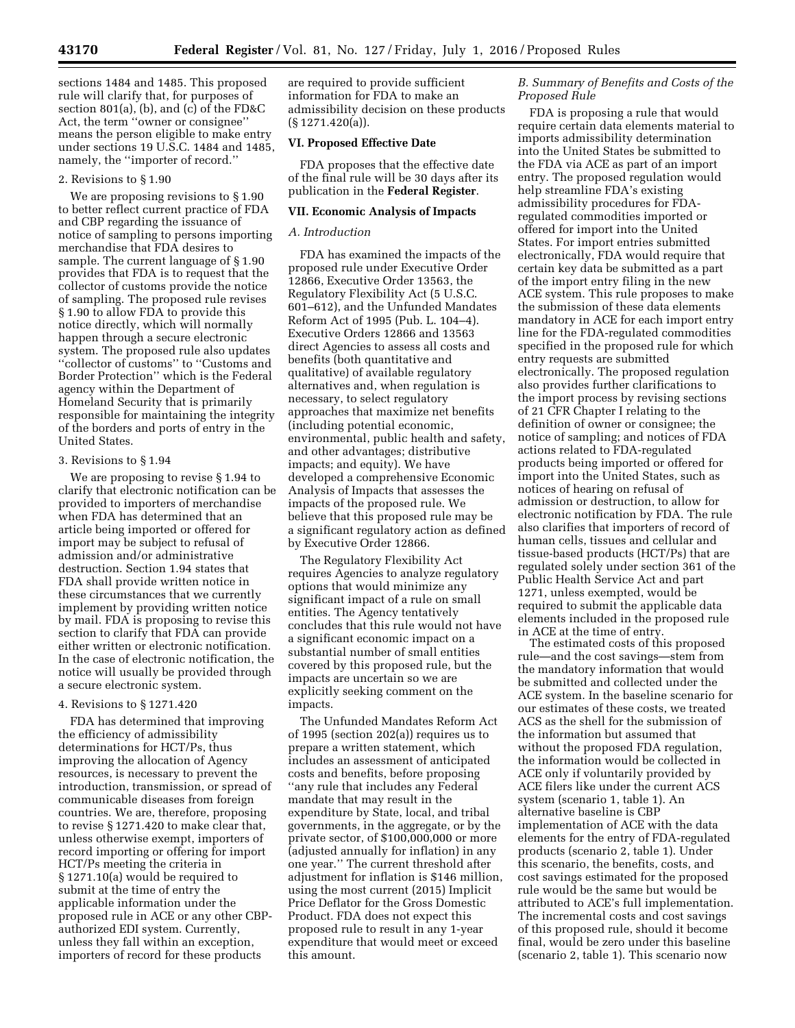sections 1484 and 1485. This proposed rule will clarify that, for purposes of section 801(a), (b), and (c) of the FD&C Act, the term ''owner or consignee'' means the person eligible to make entry under sections 19 U.S.C. 1484 and 1485, namely, the ''importer of record.''

# 2. Revisions to § 1.90

We are proposing revisions to § 1.90 to better reflect current practice of FDA and CBP regarding the issuance of notice of sampling to persons importing merchandise that FDA desires to sample. The current language of § 1.90 provides that FDA is to request that the collector of customs provide the notice of sampling. The proposed rule revises § 1.90 to allow FDA to provide this notice directly, which will normally happen through a secure electronic system. The proposed rule also updates ''collector of customs'' to ''Customs and Border Protection'' which is the Federal agency within the Department of Homeland Security that is primarily responsible for maintaining the integrity of the borders and ports of entry in the United States.

## 3. Revisions to § 1.94

We are proposing to revise § 1.94 to clarify that electronic notification can be provided to importers of merchandise when FDA has determined that an article being imported or offered for import may be subject to refusal of admission and/or administrative destruction. Section 1.94 states that FDA shall provide written notice in these circumstances that we currently implement by providing written notice by mail. FDA is proposing to revise this section to clarify that FDA can provide either written or electronic notification. In the case of electronic notification, the notice will usually be provided through a secure electronic system.

# 4. Revisions to § 1271.420

FDA has determined that improving the efficiency of admissibility determinations for HCT/Ps, thus improving the allocation of Agency resources, is necessary to prevent the introduction, transmission, or spread of communicable diseases from foreign countries. We are, therefore, proposing to revise § 1271.420 to make clear that, unless otherwise exempt, importers of record importing or offering for import HCT/Ps meeting the criteria in § 1271.10(a) would be required to submit at the time of entry the applicable information under the proposed rule in ACE or any other CBPauthorized EDI system. Currently, unless they fall within an exception, importers of record for these products

are required to provide sufficient information for FDA to make an admissibility decision on these products (§ 1271.420(a)).

## **VI. Proposed Effective Date**

FDA proposes that the effective date of the final rule will be 30 days after its publication in the **Federal Register**.

## **VII. Economic Analysis of Impacts**

# *A. Introduction*

FDA has examined the impacts of the proposed rule under Executive Order 12866, Executive Order 13563, the Regulatory Flexibility Act (5 U.S.C. 601–612), and the Unfunded Mandates Reform Act of 1995 (Pub. L. 104–4). Executive Orders 12866 and 13563 direct Agencies to assess all costs and benefits (both quantitative and qualitative) of available regulatory alternatives and, when regulation is necessary, to select regulatory approaches that maximize net benefits (including potential economic, environmental, public health and safety, and other advantages; distributive impacts; and equity). We have developed a comprehensive Economic Analysis of Impacts that assesses the impacts of the proposed rule. We believe that this proposed rule may be a significant regulatory action as defined by Executive Order 12866.

The Regulatory Flexibility Act requires Agencies to analyze regulatory options that would minimize any significant impact of a rule on small entities. The Agency tentatively concludes that this rule would not have a significant economic impact on a substantial number of small entities covered by this proposed rule, but the impacts are uncertain so we are explicitly seeking comment on the impacts.

The Unfunded Mandates Reform Act of 1995 (section 202(a)) requires us to prepare a written statement, which includes an assessment of anticipated costs and benefits, before proposing ''any rule that includes any Federal mandate that may result in the expenditure by State, local, and tribal governments, in the aggregate, or by the private sector, of \$100,000,000 or more (adjusted annually for inflation) in any one year.'' The current threshold after adjustment for inflation is \$146 million, using the most current (2015) Implicit Price Deflator for the Gross Domestic Product. FDA does not expect this proposed rule to result in any 1-year expenditure that would meet or exceed this amount.

## *B. Summary of Benefits and Costs of the Proposed Rule*

FDA is proposing a rule that would require certain data elements material to imports admissibility determination into the United States be submitted to the FDA via ACE as part of an import entry. The proposed regulation would help streamline FDA's existing admissibility procedures for FDAregulated commodities imported or offered for import into the United States. For import entries submitted electronically, FDA would require that certain key data be submitted as a part of the import entry filing in the new ACE system. This rule proposes to make the submission of these data elements mandatory in ACE for each import entry line for the FDA-regulated commodities specified in the proposed rule for which entry requests are submitted electronically. The proposed regulation also provides further clarifications to the import process by revising sections of 21 CFR Chapter I relating to the definition of owner or consignee; the notice of sampling; and notices of FDA actions related to FDA-regulated products being imported or offered for import into the United States, such as notices of hearing on refusal of admission or destruction, to allow for electronic notification by FDA. The rule also clarifies that importers of record of human cells, tissues and cellular and tissue-based products (HCT/Ps) that are regulated solely under section 361 of the Public Health Service Act and part 1271, unless exempted, would be required to submit the applicable data elements included in the proposed rule in ACE at the time of entry.

The estimated costs of this proposed rule—and the cost savings—stem from the mandatory information that would be submitted and collected under the ACE system. In the baseline scenario for our estimates of these costs, we treated ACS as the shell for the submission of the information but assumed that without the proposed FDA regulation, the information would be collected in ACE only if voluntarily provided by ACE filers like under the current ACS system (scenario 1, table 1). An alternative baseline is CBP implementation of ACE with the data elements for the entry of FDA-regulated products (scenario 2, table 1). Under this scenario, the benefits, costs, and cost savings estimated for the proposed rule would be the same but would be attributed to ACE's full implementation. The incremental costs and cost savings of this proposed rule, should it become final, would be zero under this baseline (scenario 2, table 1). This scenario now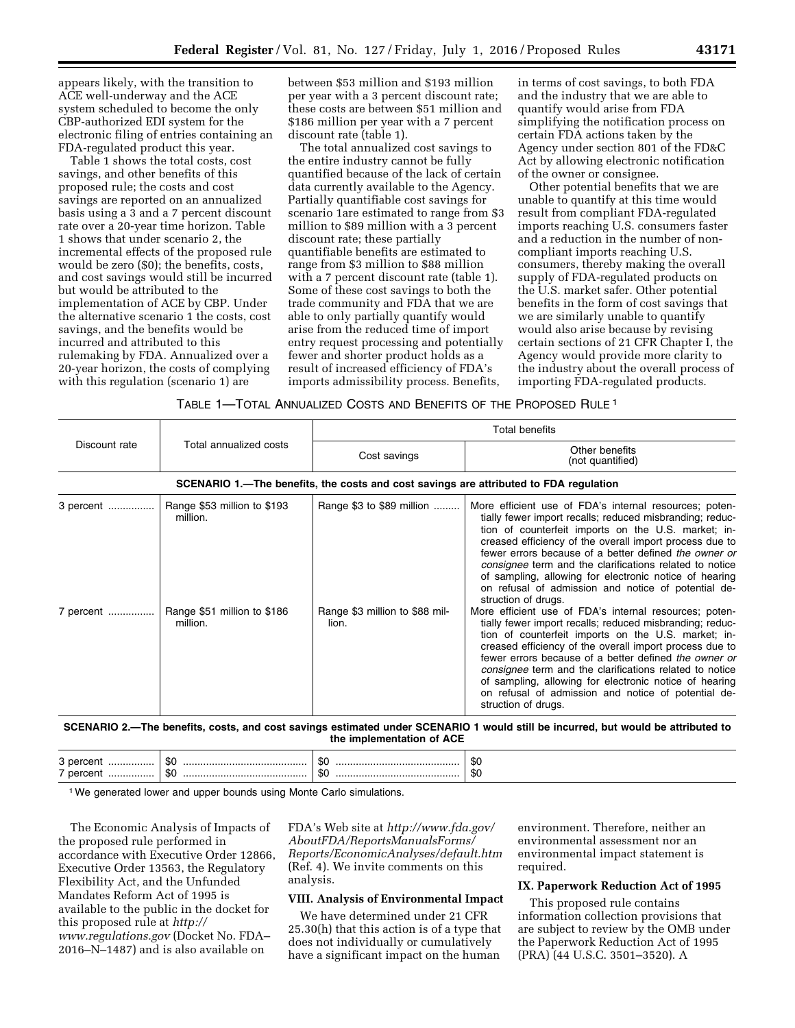appears likely, with the transition to ACE well-underway and the ACE system scheduled to become the only CBP-authorized EDI system for the electronic filing of entries containing an FDA-regulated product this year.

Table 1 shows the total costs, cost savings, and other benefits of this proposed rule; the costs and cost savings are reported on an annualized basis using a 3 and a 7 percent discount rate over a 20-year time horizon. Table 1 shows that under scenario 2, the incremental effects of the proposed rule would be zero (\$0); the benefits, costs, and cost savings would still be incurred but would be attributed to the implementation of ACE by CBP. Under the alternative scenario 1 the costs, cost savings, and the benefits would be incurred and attributed to this rulemaking by FDA. Annualized over a 20-year horizon, the costs of complying with this regulation (scenario 1) are

between \$53 million and \$193 million per year with a 3 percent discount rate; these costs are between \$51 million and \$186 million per year with a 7 percent discount rate (table 1).

The total annualized cost savings to the entire industry cannot be fully quantified because of the lack of certain data currently available to the Agency. Partially quantifiable cost savings for scenario 1are estimated to range from \$3 million to \$89 million with a 3 percent discount rate; these partially quantifiable benefits are estimated to range from \$3 million to \$88 million with a 7 percent discount rate (table 1). Some of these cost savings to both the trade community and FDA that we are able to only partially quantify would arise from the reduced time of import entry request processing and potentially fewer and shorter product holds as a result of increased efficiency of FDA's imports admissibility process. Benefits,

in terms of cost savings, to both FDA and the industry that we are able to quantify would arise from FDA simplifying the notification process on certain FDA actions taken by the Agency under section 801 of the FD&C Act by allowing electronic notification of the owner or consignee.

Other potential benefits that we are unable to quantify at this time would result from compliant FDA-regulated imports reaching U.S. consumers faster and a reduction in the number of noncompliant imports reaching U.S. consumers, thereby making the overall supply of FDA-regulated products on the U.S. market safer. Other potential benefits in the form of cost savings that we are similarly unable to quantify would also arise because by revising certain sections of 21 CFR Chapter I, the Agency would provide more clarity to the industry about the overall process of importing FDA-regulated products.

TABLE 1—TOTAL ANNUALIZED COSTS AND BENEFITS OF THE PROPOSED RULE 1

| Discount rate                                                                         | Total annualized costs                  | <b>Total benefits</b>                   |                                                                                                                                                                                                                                                                                                                                                                                                                                                                                                  |  |  |  |  |
|---------------------------------------------------------------------------------------|-----------------------------------------|-----------------------------------------|--------------------------------------------------------------------------------------------------------------------------------------------------------------------------------------------------------------------------------------------------------------------------------------------------------------------------------------------------------------------------------------------------------------------------------------------------------------------------------------------------|--|--|--|--|
|                                                                                       |                                         | Cost savings                            | Other benefits<br>(not quantified)                                                                                                                                                                                                                                                                                                                                                                                                                                                               |  |  |  |  |
| SCENARIO 1.—The benefits, the costs and cost savings are attributed to FDA regulation |                                         |                                         |                                                                                                                                                                                                                                                                                                                                                                                                                                                                                                  |  |  |  |  |
| 3 percent                                                                             | Range \$53 million to \$193<br>million. | Range \$3 to \$89 million               | More efficient use of FDA's internal resources; poten-<br>tially fewer import recalls; reduced misbranding; reduc-<br>tion of counterfeit imports on the U.S. market; in-<br>creased efficiency of the overall import process due to<br>fewer errors because of a better defined the owner or<br>consignee term and the clarifications related to notice<br>of sampling, allowing for electronic notice of hearing<br>on refusal of admission and notice of potential de-<br>struction of drugs. |  |  |  |  |
| 7 percent                                                                             | Range \$51 million to \$186<br>million. | Range \$3 million to \$88 mil-<br>lion. | More efficient use of FDA's internal resources; poten-<br>tially fewer import recalls; reduced misbranding; reduc-<br>tion of counterfeit imports on the U.S. market; in-<br>creased efficiency of the overall import process due to<br>fewer errors because of a better defined the owner or<br>consignee term and the clarifications related to notice<br>of sampling, allowing for electronic notice of hearing<br>on refusal of admission and notice of potential de-<br>struction of drugs. |  |  |  |  |

**SCENARIO 2.—The benefits, costs, and cost savings estimated under SCENARIO 1 would still be incurred, but would be attributed to the implementation of ACE** 

| w<br>w<br>ັບ<br>$\mathbf{r}$ |
|------------------------------|
|------------------------------|

<sup>1</sup> We generated lower and upper bounds using Monte Carlo simulations.

The Economic Analysis of Impacts of the proposed rule performed in accordance with Executive Order 12866, Executive Order 13563, the Regulatory Flexibility Act, and the Unfunded Mandates Reform Act of 1995 is available to the public in the docket for this proposed rule at *[http://](http://www.regulations.gov) [www.regulations.gov](http://www.regulations.gov)* (Docket No. FDA– 2016–N–1487) and is also available on

FDA's Web site at *[http://www.fda.gov/](http://www.fda.gov/AboutFDA/ReportsManualsForms/Reports/EconomicAnalyses/default.htm) [AboutFDA/ReportsManualsForms/](http://www.fda.gov/AboutFDA/ReportsManualsForms/Reports/EconomicAnalyses/default.htm) [Reports/EconomicAnalyses/default.htm](http://www.fda.gov/AboutFDA/ReportsManualsForms/Reports/EconomicAnalyses/default.htm)*  (Ref. 4). We invite comments on this analysis.

## **VIII. Analysis of Environmental Impact**

We have determined under 21 CFR 25.30(h) that this action is of a type that does not individually or cumulatively have a significant impact on the human

environment. Therefore, neither an environmental assessment nor an environmental impact statement is required.

## **IX. Paperwork Reduction Act of 1995**

This proposed rule contains information collection provisions that are subject to review by the OMB under the Paperwork Reduction Act of 1995 (PRA) (44 U.S.C. 3501–3520). A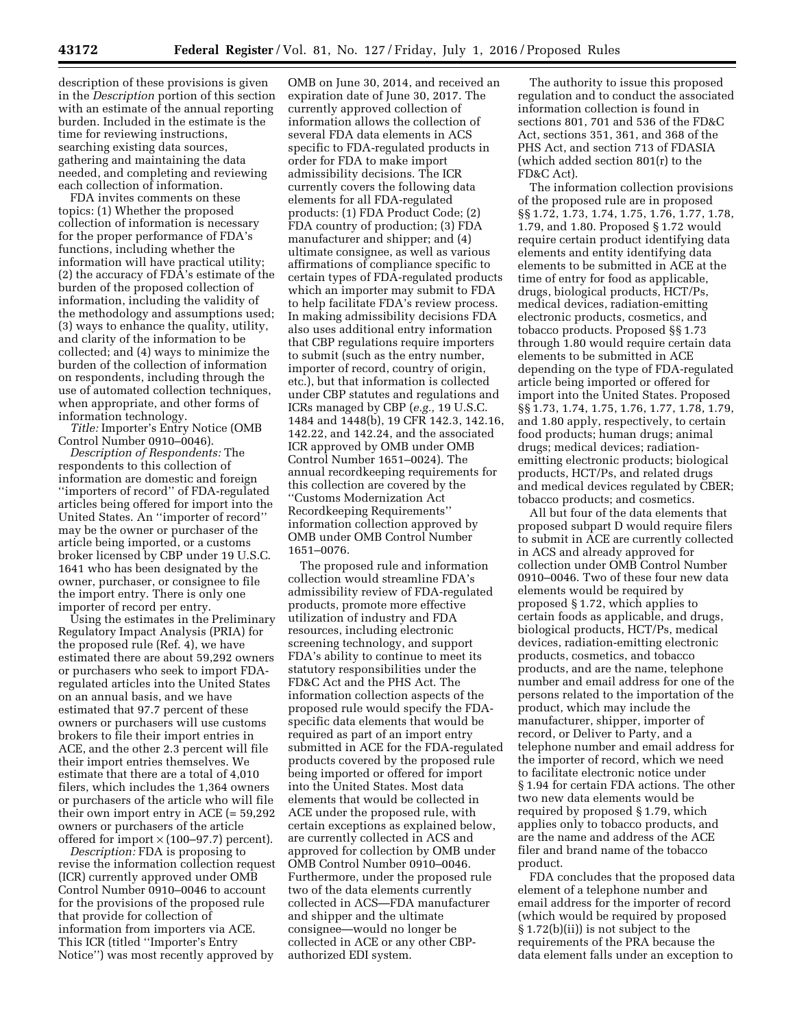description of these provisions is given in the *Description* portion of this section with an estimate of the annual reporting burden. Included in the estimate is the time for reviewing instructions, searching existing data sources, gathering and maintaining the data needed, and completing and reviewing each collection of information.

FDA invites comments on these topics: (1) Whether the proposed collection of information is necessary for the proper performance of FDA's functions, including whether the information will have practical utility; (2) the accuracy of FDA's estimate of the burden of the proposed collection of information, including the validity of the methodology and assumptions used; (3) ways to enhance the quality, utility, and clarity of the information to be collected; and (4) ways to minimize the burden of the collection of information on respondents, including through the use of automated collection techniques, when appropriate, and other forms of information technology.

*Title:* Importer's Entry Notice (OMB Control Number 0910–0046).

*Description of Respondents:* The respondents to this collection of information are domestic and foreign ''importers of record'' of FDA-regulated articles being offered for import into the United States. An ''importer of record'' may be the owner or purchaser of the article being imported, or a customs broker licensed by CBP under 19 U.S.C. 1641 who has been designated by the owner, purchaser, or consignee to file the import entry. There is only one importer of record per entry.

Using the estimates in the Preliminary Regulatory Impact Analysis (PRIA) for the proposed rule (Ref. 4), we have estimated there are about 59,292 owners or purchasers who seek to import FDAregulated articles into the United States on an annual basis, and we have estimated that 97.7 percent of these owners or purchasers will use customs brokers to file their import entries in ACE, and the other 2.3 percent will file their import entries themselves. We estimate that there are a total of 4,010 filers, which includes the 1,364 owners or purchasers of the article who will file their own import entry in ACE (= 59,292 owners or purchasers of the article offered for import  $\times$  (100–97.7) percent).

*Description:* FDA is proposing to revise the information collection request (ICR) currently approved under OMB Control Number 0910–0046 to account for the provisions of the proposed rule that provide for collection of information from importers via ACE. This ICR (titled ''Importer's Entry Notice'') was most recently approved by

OMB on June 30, 2014, and received an expiration date of June 30, 2017. The currently approved collection of information allows the collection of several FDA data elements in ACS specific to FDA-regulated products in order for FDA to make import admissibility decisions. The ICR currently covers the following data elements for all FDA-regulated products: (1) FDA Product Code; (2) FDA country of production; (3) FDA manufacturer and shipper; and (4) ultimate consignee, as well as various affirmations of compliance specific to certain types of FDA-regulated products which an importer may submit to FDA to help facilitate FDA's review process. In making admissibility decisions FDA also uses additional entry information that CBP regulations require importers to submit (such as the entry number, importer of record, country of origin, etc.), but that information is collected under CBP statutes and regulations and ICRs managed by CBP (*e.g.,* 19 U.S.C. 1484 and 1448(b), 19 CFR 142.3, 142.16, 142.22, and 142.24, and the associated ICR approved by OMB under OMB Control Number 1651–0024). The annual recordkeeping requirements for this collection are covered by the ''Customs Modernization Act Recordkeeping Requirements'' information collection approved by OMB under OMB Control Number 1651–0076.

The proposed rule and information collection would streamline FDA's admissibility review of FDA-regulated products, promote more effective utilization of industry and FDA resources, including electronic screening technology, and support FDA's ability to continue to meet its statutory responsibilities under the FD&C Act and the PHS Act. The information collection aspects of the proposed rule would specify the FDAspecific data elements that would be required as part of an import entry submitted in ACE for the FDA-regulated products covered by the proposed rule being imported or offered for import into the United States. Most data elements that would be collected in ACE under the proposed rule, with certain exceptions as explained below, are currently collected in ACS and approved for collection by OMB under OMB Control Number 0910–0046. Furthermore, under the proposed rule two of the data elements currently collected in ACS—FDA manufacturer and shipper and the ultimate consignee—would no longer be collected in ACE or any other CBPauthorized EDI system.

The authority to issue this proposed regulation and to conduct the associated information collection is found in sections 801, 701 and 536 of the FD&C Act, sections 351, 361, and 368 of the PHS Act, and section 713 of FDASIA (which added section 801(r) to the FD&C Act).

The information collection provisions of the proposed rule are in proposed §§ 1.72, 1.73, 1.74, 1.75, 1.76, 1.77, 1.78, 1.79, and 1.80. Proposed § 1.72 would require certain product identifying data elements and entity identifying data elements to be submitted in ACE at the time of entry for food as applicable, drugs, biological products, HCT/Ps, medical devices, radiation-emitting electronic products, cosmetics, and tobacco products. Proposed §§ 1.73 through 1.80 would require certain data elements to be submitted in ACE depending on the type of FDA-regulated article being imported or offered for import into the United States. Proposed §§ 1.73, 1.74, 1.75, 1.76, 1.77, 1.78, 1.79, and 1.80 apply, respectively, to certain food products; human drugs; animal drugs; medical devices; radiationemitting electronic products; biological products, HCT/Ps, and related drugs and medical devices regulated by CBER; tobacco products; and cosmetics.

All but four of the data elements that proposed subpart D would require filers to submit in ACE are currently collected in ACS and already approved for collection under OMB Control Number 0910–0046. Two of these four new data elements would be required by proposed § 1.72, which applies to certain foods as applicable, and drugs, biological products, HCT/Ps, medical devices, radiation-emitting electronic products, cosmetics, and tobacco products, and are the name, telephone number and email address for one of the persons related to the importation of the product, which may include the manufacturer, shipper, importer of record, or Deliver to Party, and a telephone number and email address for the importer of record, which we need to facilitate electronic notice under § 1.94 for certain FDA actions. The other two new data elements would be required by proposed § 1.79, which applies only to tobacco products, and are the name and address of the ACE filer and brand name of the tobacco product.

FDA concludes that the proposed data element of a telephone number and email address for the importer of record (which would be required by proposed § 1.72(b)(ii)) is not subject to the requirements of the PRA because the data element falls under an exception to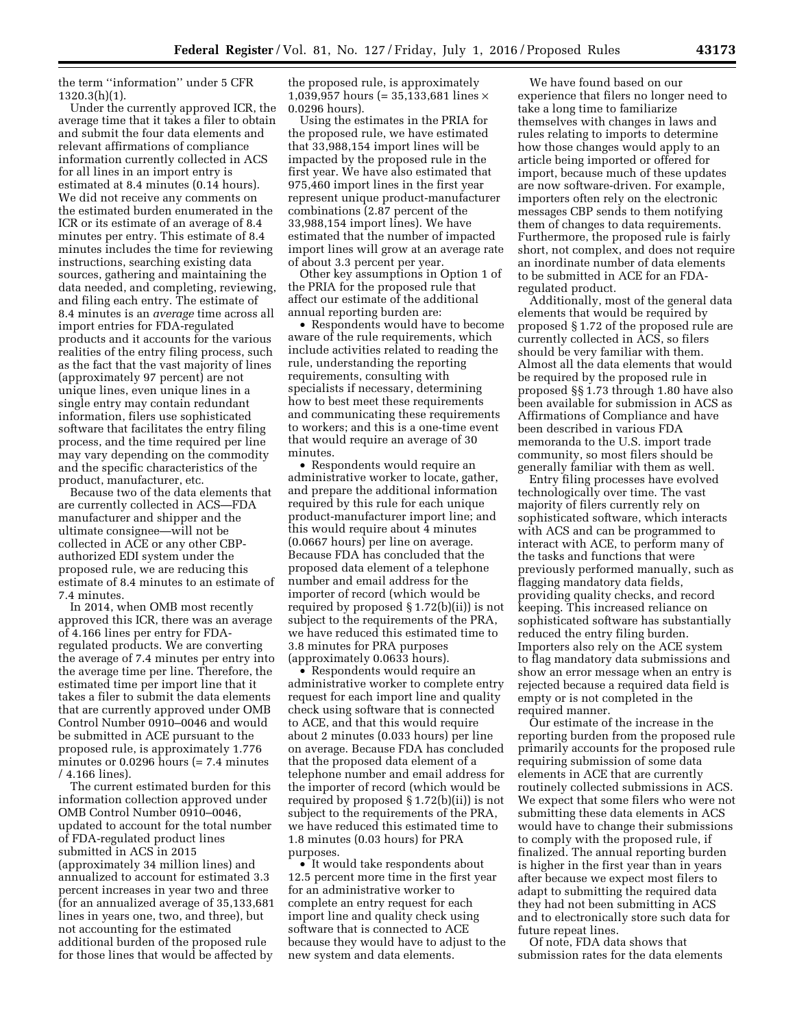the term ''information'' under 5 CFR 1320.3(h)(1).

Under the currently approved ICR, the average time that it takes a filer to obtain and submit the four data elements and relevant affirmations of compliance information currently collected in ACS for all lines in an import entry is estimated at 8.4 minutes (0.14 hours). We did not receive any comments on the estimated burden enumerated in the ICR or its estimate of an average of 8.4 minutes per entry. This estimate of 8.4 minutes includes the time for reviewing instructions, searching existing data sources, gathering and maintaining the data needed, and completing, reviewing, and filing each entry. The estimate of 8.4 minutes is an *average* time across all import entries for FDA-regulated products and it accounts for the various realities of the entry filing process, such as the fact that the vast majority of lines (approximately 97 percent) are not unique lines, even unique lines in a single entry may contain redundant information, filers use sophisticated software that facilitates the entry filing process, and the time required per line may vary depending on the commodity and the specific characteristics of the product, manufacturer, etc.

Because two of the data elements that are currently collected in ACS—FDA manufacturer and shipper and the ultimate consignee—will not be collected in ACE or any other CBPauthorized EDI system under the proposed rule, we are reducing this estimate of 8.4 minutes to an estimate of 7.4 minutes.

In 2014, when OMB most recently approved this ICR, there was an average of 4.166 lines per entry for FDAregulated products. We are converting the average of 7.4 minutes per entry into the average time per line. Therefore, the estimated time per import line that it takes a filer to submit the data elements that are currently approved under OMB Control Number 0910–0046 and would be submitted in ACE pursuant to the proposed rule, is approximately 1.776 minutes or 0.0296 hours (= 7.4 minutes / 4.166 lines).

The current estimated burden for this information collection approved under OMB Control Number 0910–0046, updated to account for the total number of FDA-regulated product lines submitted in ACS in 2015 (approximately 34 million lines) and annualized to account for estimated 3.3 percent increases in year two and three (for an annualized average of 35,133,681 lines in years one, two, and three), but not accounting for the estimated additional burden of the proposed rule for those lines that would be affected by

the proposed rule, is approximately 1,039,957 hours (= 35,133,681 lines  $\times$ 0.0296 hours).

Using the estimates in the PRIA for the proposed rule, we have estimated that 33,988,154 import lines will be impacted by the proposed rule in the first year. We have also estimated that 975,460 import lines in the first year represent unique product-manufacturer combinations (2.87 percent of the 33,988,154 import lines). We have estimated that the number of impacted import lines will grow at an average rate of about 3.3 percent per year.

Other key assumptions in Option 1 of the PRIA for the proposed rule that affect our estimate of the additional annual reporting burden are:

• Respondents would have to become aware of the rule requirements, which include activities related to reading the rule, understanding the reporting requirements, consulting with specialists if necessary, determining how to best meet these requirements and communicating these requirements to workers; and this is a one-time event that would require an average of 30 minutes.

• Respondents would require an administrative worker to locate, gather, and prepare the additional information required by this rule for each unique product-manufacturer import line; and this would require about 4 minutes (0.0667 hours) per line on average. Because FDA has concluded that the proposed data element of a telephone number and email address for the importer of record (which would be required by proposed § 1.72(b)(ii)) is not subject to the requirements of the PRA, we have reduced this estimated time to 3.8 minutes for PRA purposes (approximately 0.0633 hours).

• Respondents would require an administrative worker to complete entry request for each import line and quality check using software that is connected to ACE, and that this would require about 2 minutes (0.033 hours) per line on average. Because FDA has concluded that the proposed data element of a telephone number and email address for the importer of record (which would be required by proposed § 1.72(b)(ii)) is not subject to the requirements of the PRA, we have reduced this estimated time to 1.8 minutes (0.03 hours) for PRA purposes.

• It would take respondents about 12.5 percent more time in the first year for an administrative worker to complete an entry request for each import line and quality check using software that is connected to ACE because they would have to adjust to the new system and data elements.

We have found based on our experience that filers no longer need to take a long time to familiarize themselves with changes in laws and rules relating to imports to determine how those changes would apply to an article being imported or offered for import, because much of these updates are now software-driven. For example, importers often rely on the electronic messages CBP sends to them notifying them of changes to data requirements. Furthermore, the proposed rule is fairly short, not complex, and does not require an inordinate number of data elements to be submitted in ACE for an FDAregulated product.

Additionally, most of the general data elements that would be required by proposed § 1.72 of the proposed rule are currently collected in ACS, so filers should be very familiar with them. Almost all the data elements that would be required by the proposed rule in proposed §§ 1.73 through 1.80 have also been available for submission in ACS as Affirmations of Compliance and have been described in various FDA memoranda to the U.S. import trade community, so most filers should be generally familiar with them as well.

Entry filing processes have evolved technologically over time. The vast majority of filers currently rely on sophisticated software, which interacts with ACS and can be programmed to interact with ACE, to perform many of the tasks and functions that were previously performed manually, such as flagging mandatory data fields, providing quality checks, and record keeping. This increased reliance on sophisticated software has substantially reduced the entry filing burden. Importers also rely on the ACE system to flag mandatory data submissions and show an error message when an entry is rejected because a required data field is empty or is not completed in the required manner.

Our estimate of the increase in the reporting burden from the proposed rule primarily accounts for the proposed rule requiring submission of some data elements in ACE that are currently routinely collected submissions in ACS. We expect that some filers who were not submitting these data elements in ACS would have to change their submissions to comply with the proposed rule, if finalized. The annual reporting burden is higher in the first year than in years after because we expect most filers to adapt to submitting the required data they had not been submitting in ACS and to electronically store such data for future repeat lines.

Of note, FDA data shows that submission rates for the data elements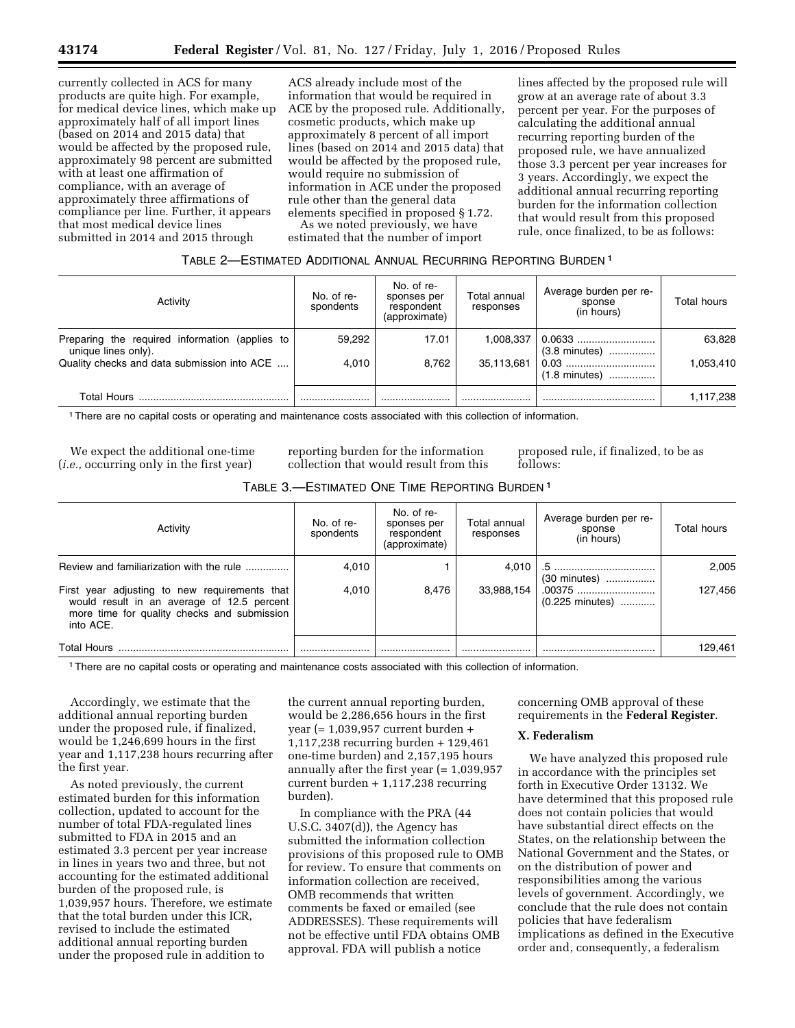currently collected in ACS for many products are quite high. For example, for medical device lines, which make up approximately half of all import lines (based on 2014 and 2015 data) that would be affected by the proposed rule, approximately 98 percent are submitted with at least one affirmation of compliance, with an average of approximately three affirmations of compliance per line. Further, it appears that most medical device lines submitted in 2014 and 2015 through

ACS already include most of the information that would be required in ACE by the proposed rule. Additionally, cosmetic products, which make up approximately 8 percent of all import lines (based on 2014 and 2015 data) that would be affected by the proposed rule, would require no submission of information in ACE under the proposed rule other than the general data elements specified in proposed § 1.72.

As we noted previously, we have estimated that the number of import

lines affected by the proposed rule will grow at an average rate of about 3.3 percent per year. For the purposes of calculating the additional annual recurring reporting burden of the proposed rule, we have annualized those 3.3 percent per year increases for 3 years. Accordingly, we expect the additional annual recurring reporting burden for the information collection that would result from this proposed rule, once finalized, to be as follows:

# TABLE 2—ESTIMATED ADDITIONAL ANNUAL RECURRING REPORTING BURDEN 1

| Activity                                                              | No. of re-<br>spondents | No. of re-<br>sponses per<br>respondent<br>(approximate) | Total annual<br>responses | Average burden per re-<br>sponse<br>(in hours) | Total hours |
|-----------------------------------------------------------------------|-------------------------|----------------------------------------------------------|---------------------------|------------------------------------------------|-------------|
| Preparing the required information (applies to<br>unique lines only). | 59,292                  | 17.01                                                    | 1,008,337                 | 0.0633<br>(3.8 minutes)                        | 63,828      |
| Quality checks and data submission into ACE                           | 4.010                   | 8,762                                                    | 35,113,681                | $(1.8 \text{ minutes})$                        | 1,053,410   |
| Total Hours                                                           |                         |                                                          |                           |                                                | 1,117,238   |

1There are no capital costs or operating and maintenance costs associated with this collection of information.

We expect the additional one-time (*i.e.,* occurring only in the first year)

reporting burden for the information collection that would result from this proposed rule, if finalized, to be as follows:

|  | TABLE 3.-ESTIMATED ONE TIME REPORTING BURDEN 1 |
|--|------------------------------------------------|
|--|------------------------------------------------|

| Activity                                                                                                                                                | No. of re-<br>spondents | No. of re-<br>sponses per<br>respondent<br>(approximate) | Total annual<br>responses | Average burden per re-<br>sponse<br>(in hours) | Total hours |
|---------------------------------------------------------------------------------------------------------------------------------------------------------|-------------------------|----------------------------------------------------------|---------------------------|------------------------------------------------|-------------|
| Review and familiarization with the rule                                                                                                                | 4,010                   |                                                          | 4.010                     | (30 minutes)                                   | 2,005       |
| First year adjusting to new requirements that<br>would result in an average of 12.5 percent<br>more time for quality checks and submission<br>into ACE. | 4.010                   | 8.476                                                    | 33,988,154                | .00375<br>(0.225 minutes)                      | 127,456     |
| <b>Total Hours</b>                                                                                                                                      |                         |                                                          |                           |                                                | 129,461     |

1There are no capital costs or operating and maintenance costs associated with this collection of information.

Accordingly, we estimate that the additional annual reporting burden under the proposed rule, if finalized, would be 1,246,699 hours in the first year and 1,117,238 hours recurring after the first year.

As noted previously, the current estimated burden for this information collection, updated to account for the number of total FDA-regulated lines submitted to FDA in 2015 and an estimated 3.3 percent per year increase in lines in years two and three, but not accounting for the estimated additional burden of the proposed rule, is 1,039,957 hours. Therefore, we estimate that the total burden under this ICR, revised to include the estimated additional annual reporting burden under the proposed rule in addition to

the current annual reporting burden, would be 2,286,656 hours in the first year (= 1,039,957 current burden + 1,117,238 recurring burden + 129,461 one-time burden) and 2,157,195 hours annually after the first year (= 1,039,957 current burden + 1,117,238 recurring burden).

In compliance with the PRA (44 U.S.C. 3407(d)), the Agency has submitted the information collection provisions of this proposed rule to OMB for review. To ensure that comments on information collection are received, OMB recommends that written comments be faxed or emailed (see ADDRESSES). These requirements will not be effective until FDA obtains OMB approval. FDA will publish a notice

concerning OMB approval of these requirements in the **Federal Register**.

## **X. Federalism**

We have analyzed this proposed rule in accordance with the principles set forth in Executive Order 13132. We have determined that this proposed rule does not contain policies that would have substantial direct effects on the States, on the relationship between the National Government and the States, or on the distribution of power and responsibilities among the various levels of government. Accordingly, we conclude that the rule does not contain policies that have federalism implications as defined in the Executive order and, consequently, a federalism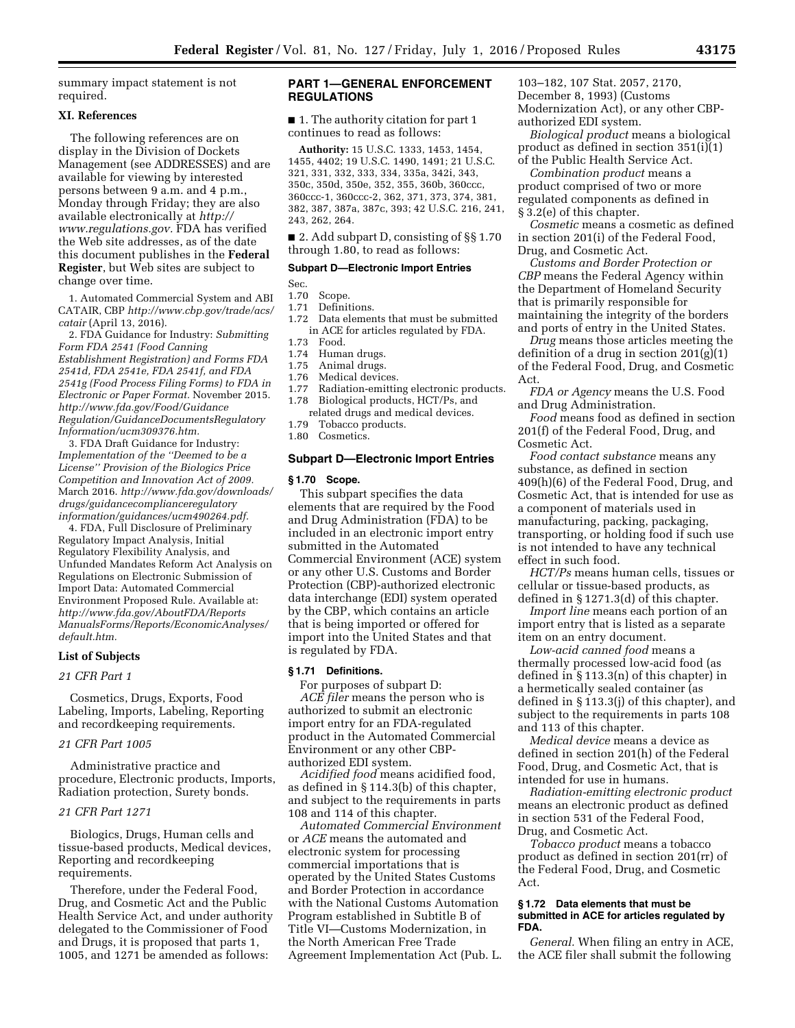summary impact statement is not required.

# **XI. References**

The following references are on display in the Division of Dockets Management (see ADDRESSES) and are available for viewing by interested persons between 9 a.m. and 4 p.m., Monday through Friday; they are also available electronically at *[http://](http://www.regulations.gov) [www.regulations.gov.](http://www.regulations.gov)* FDA has verified the Web site addresses, as of the date this document publishes in the **Federal Register**, but Web sites are subject to change over time.

1. Automated Commercial System and ABI CATAIR, CBP *[http://www.cbp.gov/trade/acs/](http://www.cbp.gov/trade/acs/catair)  [catair](http://www.cbp.gov/trade/acs/catair)* (April 13, 2016).

2. FDA Guidance for Industry: *Submitting Form FDA 2541 (Food Canning Establishment Registration) and Forms FDA 2541d, FDA 2541e, FDA 2541f, and FDA 2541g (Food Process Filing Forms) to FDA in Electronic or Paper Format.* November 2015. *[http://www.fda.gov/Food/Guidance](http://www.fda.gov/Food/GuidanceRegulation/GuidanceDocumentsRegulatoryInformation/ucm309376.htm) [Regulation/GuidanceDocumentsRegulatory](http://www.fda.gov/Food/GuidanceRegulation/GuidanceDocumentsRegulatoryInformation/ucm309376.htm) [Information/ucm309376.htm.](http://www.fda.gov/Food/GuidanceRegulation/GuidanceDocumentsRegulatoryInformation/ucm309376.htm)* 

3. FDA Draft Guidance for Industry: *Implementation of the ''Deemed to be a License'' Provision of the Biologics Price Competition and Innovation Act of 2009.*  March 2016. *[http://www.fda.gov/downloads/](http://www.fda.gov/downloads/drugs/guidancecomplianceregulatoryinformation/guidances/ucm490264.pdf) [drugs/guidancecomplianceregulatory](http://www.fda.gov/downloads/drugs/guidancecomplianceregulatoryinformation/guidances/ucm490264.pdf) [information/guidances/ucm490264.pdf.](http://www.fda.gov/downloads/drugs/guidancecomplianceregulatoryinformation/guidances/ucm490264.pdf)* 

4. FDA, Full Disclosure of Preliminary Regulatory Impact Analysis, Initial Regulatory Flexibility Analysis, and Unfunded Mandates Reform Act Analysis on Regulations on Electronic Submission of Import Data: Automated Commercial Environment Proposed Rule. Available at: *[http://www.fda.gov/AboutFDA/Reports](http://www.fda.gov/AboutFDA/ReportsManualsForms/Reports/EconomicAnalyses/default.htm) [ManualsForms/Reports/EconomicAnalyses/](http://www.fda.gov/AboutFDA/ReportsManualsForms/Reports/EconomicAnalyses/default.htm) [default.htm.](http://www.fda.gov/AboutFDA/ReportsManualsForms/Reports/EconomicAnalyses/default.htm)* 

## **List of Subjects**

# *21 CFR Part 1*

Cosmetics, Drugs, Exports, Food Labeling, Imports, Labeling, Reporting and recordkeeping requirements.

#### *21 CFR Part 1005*

Administrative practice and procedure, Electronic products, Imports, Radiation protection, Surety bonds.

# *21 CFR Part 1271*

Biologics, Drugs, Human cells and tissue-based products, Medical devices, Reporting and recordkeeping requirements.

Therefore, under the Federal Food, Drug, and Cosmetic Act and the Public Health Service Act, and under authority delegated to the Commissioner of Food and Drugs, it is proposed that parts 1, 1005, and 1271 be amended as follows:

# **PART 1—GENERAL ENFORCEMENT REGULATIONS**

■ 1. The authority citation for part 1 continues to read as follows:

**Authority:** 15 U.S.C. 1333, 1453, 1454, 1455, 4402; 19 U.S.C. 1490, 1491; 21 U.S.C. 321, 331, 332, 333, 334, 335a, 342i, 343, 350c, 350d, 350e, 352, 355, 360b, 360ccc, 360ccc-1, 360ccc-2, 362, 371, 373, 374, 381, 382, 387, 387a, 387c, 393; 42 U.S.C. 216, 241, 243, 262, 264.

■ 2. Add subpart D, consisting of §§ 1.70 through 1.80, to read as follows:

## **Subpart D—Electronic Import Entries**

Sec.<br>1.70

# 1.70 Scope.<br>1.71 Definit

- 1.71 Definitions.<br>1.72 Data element
- Data elements that must be submitted in ACE for articles regulated by FDA.<br>1.73 Food.
- 1.73 Food.<br>1.74 Huma

# 1.74 Human drugs.<br>1.75 Animal drugs.

- 1.75 Animal drugs.
- Medical devices.
- 1.77 Radiation-emitting electronic products.<br>1.78 Biological products. HCT/Ps. and
- Biological products, HCT/Ps, and
- related drugs and medical devices.<br>1.79 Tobacco products.
- Tobacco products.
- 1.80 Cosmetics.

## **Subpart D—Electronic Import Entries**

## **§ 1.70 Scope.**

This subpart specifies the data elements that are required by the Food and Drug Administration (FDA) to be included in an electronic import entry submitted in the Automated Commercial Environment (ACE) system or any other U.S. Customs and Border Protection (CBP)-authorized electronic data interchange (EDI) system operated by the CBP, which contains an article that is being imported or offered for import into the United States and that is regulated by FDA.

## **§ 1.71 Definitions.**

For purposes of subpart D: *ACE filer* means the person who is authorized to submit an electronic import entry for an FDA-regulated product in the Automated Commercial Environment or any other CBPauthorized EDI system.

*Acidified food* means acidified food, as defined in § 114.3(b) of this chapter, and subject to the requirements in parts 108 and 114 of this chapter.

*Automated Commercial Environment*  or *ACE* means the automated and electronic system for processing commercial importations that is operated by the United States Customs and Border Protection in accordance with the National Customs Automation Program established in Subtitle B of Title VI—Customs Modernization, in the North American Free Trade Agreement Implementation Act (Pub. L. 103–182, 107 Stat. 2057, 2170, December 8, 1993) (Customs Modernization Act), or any other CBP-

authorized EDI system. *Biological product* means a biological product as defined in section 351(i)(1) of the Public Health Service Act.

*Combination product* means a product comprised of two or more regulated components as defined in § 3.2(e) of this chapter.

*Cosmetic* means a cosmetic as defined in section 201(i) of the Federal Food, Drug, and Cosmetic Act.

*Customs and Border Protection or CBP* means the Federal Agency within the Department of Homeland Security that is primarily responsible for maintaining the integrity of the borders and ports of entry in the United States.

*Drug* means those articles meeting the definition of a drug in section 201(g)(1) of the Federal Food, Drug, and Cosmetic Act.

*FDA or Agency* means the U.S. Food and Drug Administration.

*Food* means food as defined in section 201(f) of the Federal Food, Drug, and Cosmetic Act.

*Food contact substance* means any substance, as defined in section 409(h)(6) of the Federal Food, Drug, and Cosmetic Act, that is intended for use as a component of materials used in manufacturing, packing, packaging, transporting, or holding food if such use is not intended to have any technical effect in such food.

*HCT/Ps* means human cells, tissues or cellular or tissue-based products, as defined in § 1271.3(d) of this chapter.

*Import line* means each portion of an import entry that is listed as a separate item on an entry document.

*Low-acid canned food* means a thermally processed low-acid food (as defined in § 113.3(n) of this chapter) in a hermetically sealed container (as defined in § 113.3(j) of this chapter), and subject to the requirements in parts 108 and 113 of this chapter.

*Medical device* means a device as defined in section 201(h) of the Federal Food, Drug, and Cosmetic Act, that is intended for use in humans.

*Radiation-emitting electronic product*  means an electronic product as defined in section 531 of the Federal Food, Drug, and Cosmetic Act.

*Tobacco product* means a tobacco product as defined in section 201(rr) of the Federal Food, Drug, and Cosmetic Act.

#### **§ 1.72 Data elements that must be submitted in ACE for articles regulated by FDA.**

*General.* When filing an entry in ACE, the ACE filer shall submit the following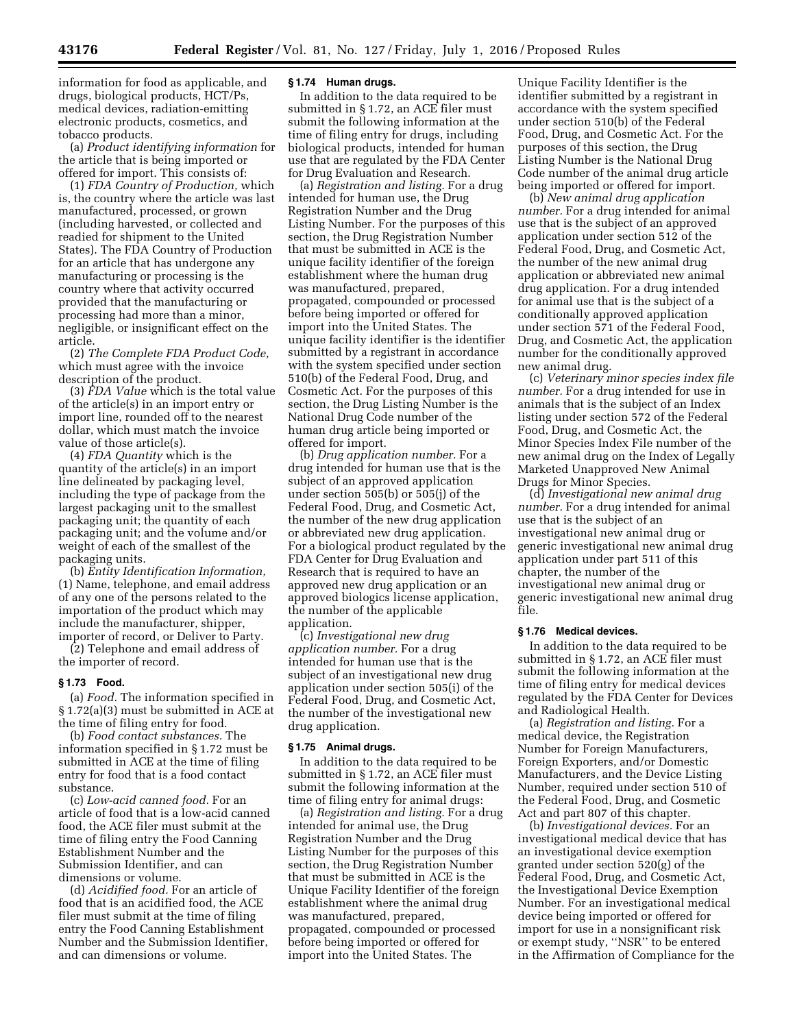information for food as applicable, and drugs, biological products, HCT/Ps, medical devices, radiation-emitting electronic products, cosmetics, and tobacco products.

(a) *Product identifying information* for the article that is being imported or offered for import. This consists of:

(1) *FDA Country of Production,* which is, the country where the article was last manufactured, processed, or grown (including harvested, or collected and readied for shipment to the United States). The FDA Country of Production for an article that has undergone any manufacturing or processing is the country where that activity occurred provided that the manufacturing or processing had more than a minor, negligible, or insignificant effect on the article.

(2) *The Complete FDA Product Code,*  which must agree with the invoice description of the product.

(3) *FDA Value* which is the total value of the article(s) in an import entry or import line, rounded off to the nearest dollar, which must match the invoice value of those article(s).

(4) *FDA Quantity* which is the quantity of the article(s) in an import line delineated by packaging level, including the type of package from the largest packaging unit to the smallest packaging unit; the quantity of each packaging unit; and the volume and/or weight of each of the smallest of the packaging units.

(b) *Entity Identification Information,*  (1) Name, telephone, and email address of any one of the persons related to the importation of the product which may include the manufacturer, shipper, importer of record, or Deliver to Party.

(2) Telephone and email address of the importer of record.

## **§ 1.73 Food.**

(a) *Food.* The information specified in § 1.72(a)(3) must be submitted in ACE at the time of filing entry for food.

(b) *Food contact substances.* The information specified in § 1.72 must be submitted in ACE at the time of filing entry for food that is a food contact substance.

(c) *Low-acid canned food.* For an article of food that is a low-acid canned food, the ACE filer must submit at the time of filing entry the Food Canning Establishment Number and the Submission Identifier, and can dimensions or volume.

(d) *Acidified food.* For an article of food that is an acidified food, the ACE filer must submit at the time of filing entry the Food Canning Establishment Number and the Submission Identifier, and can dimensions or volume.

#### **§ 1.74 Human drugs.**

In addition to the data required to be submitted in § 1.72, an ACE filer must submit the following information at the time of filing entry for drugs, including biological products, intended for human use that are regulated by the FDA Center for Drug Evaluation and Research.

(a) *Registration and listing.* For a drug intended for human use, the Drug Registration Number and the Drug Listing Number. For the purposes of this section, the Drug Registration Number that must be submitted in ACE is the unique facility identifier of the foreign establishment where the human drug was manufactured, prepared, propagated, compounded or processed before being imported or offered for import into the United States. The unique facility identifier is the identifier submitted by a registrant in accordance with the system specified under section 510(b) of the Federal Food, Drug, and Cosmetic Act. For the purposes of this section, the Drug Listing Number is the National Drug Code number of the human drug article being imported or offered for import.

(b) *Drug application number.* For a drug intended for human use that is the subject of an approved application under section 505(b) or 505(j) of the Federal Food, Drug, and Cosmetic Act, the number of the new drug application or abbreviated new drug application. For a biological product regulated by the FDA Center for Drug Evaluation and Research that is required to have an approved new drug application or an approved biologics license application, the number of the applicable application.

(c) *Investigational new drug application number.* For a drug intended for human use that is the subject of an investigational new drug application under section 505(i) of the Federal Food, Drug, and Cosmetic Act, the number of the investigational new drug application.

# **§ 1.75 Animal drugs.**

In addition to the data required to be submitted in § 1.72, an ACE filer must submit the following information at the time of filing entry for animal drugs:

(a) *Registration and listing.* For a drug intended for animal use, the Drug Registration Number and the Drug Listing Number for the purposes of this section, the Drug Registration Number that must be submitted in ACE is the Unique Facility Identifier of the foreign establishment where the animal drug was manufactured, prepared, propagated, compounded or processed before being imported or offered for import into the United States. The

Unique Facility Identifier is the identifier submitted by a registrant in accordance with the system specified under section 510(b) of the Federal Food, Drug, and Cosmetic Act. For the purposes of this section, the Drug Listing Number is the National Drug Code number of the animal drug article being imported or offered for import.

(b) *New animal drug application number.* For a drug intended for animal use that is the subject of an approved application under section 512 of the Federal Food, Drug, and Cosmetic Act, the number of the new animal drug application or abbreviated new animal drug application. For a drug intended for animal use that is the subject of a conditionally approved application under section 571 of the Federal Food, Drug, and Cosmetic Act, the application number for the conditionally approved new animal drug.

(c) *Veterinary minor species index file number.* For a drug intended for use in animals that is the subject of an Index listing under section 572 of the Federal Food, Drug, and Cosmetic Act, the Minor Species Index File number of the new animal drug on the Index of Legally Marketed Unapproved New Animal Drugs for Minor Species.

(d) *Investigational new animal drug number.* For a drug intended for animal use that is the subject of an investigational new animal drug or generic investigational new animal drug application under part 511 of this chapter, the number of the investigational new animal drug or generic investigational new animal drug file.

#### **§ 1.76 Medical devices.**

In addition to the data required to be submitted in § 1.72, an ACE filer must submit the following information at the time of filing entry for medical devices regulated by the FDA Center for Devices and Radiological Health.

(a) *Registration and listing.* For a medical device, the Registration Number for Foreign Manufacturers, Foreign Exporters, and/or Domestic Manufacturers, and the Device Listing Number, required under section 510 of the Federal Food, Drug, and Cosmetic Act and part 807 of this chapter.

(b) *Investigational devices.* For an investigational medical device that has an investigational device exemption granted under section 520(g) of the Federal Food, Drug, and Cosmetic Act, the Investigational Device Exemption Number. For an investigational medical device being imported or offered for import for use in a nonsignificant risk or exempt study, ''NSR'' to be entered in the Affirmation of Compliance for the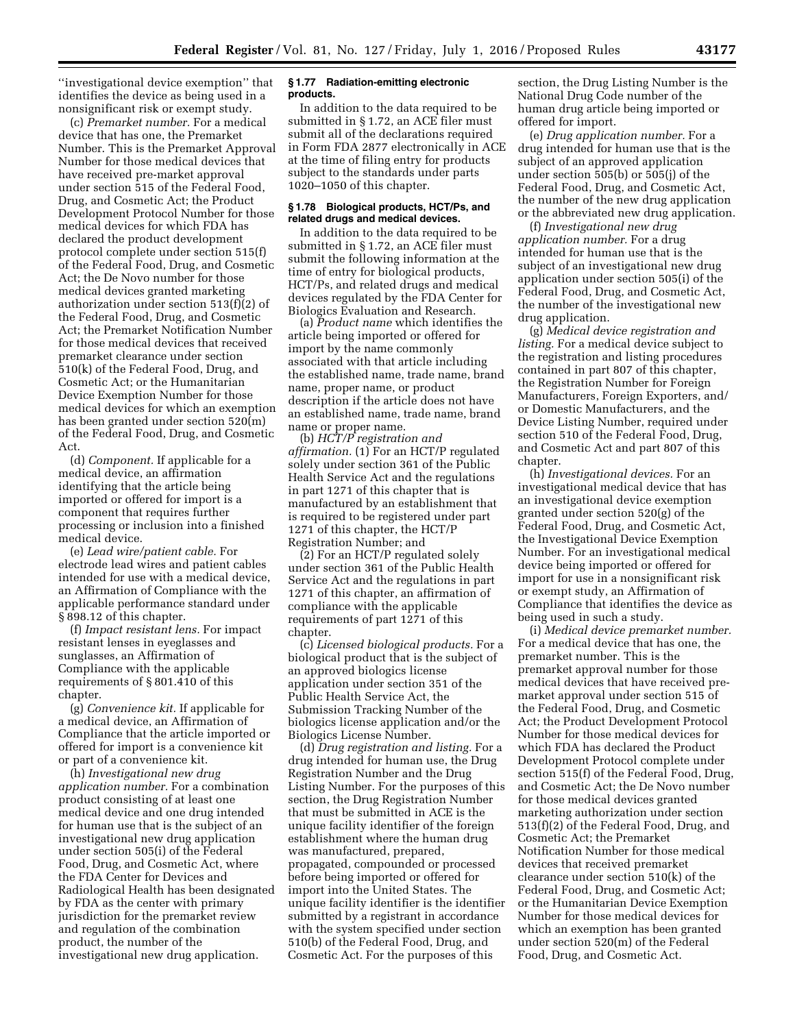''investigational device exemption'' that identifies the device as being used in a nonsignificant risk or exempt study.

(c) *Premarket number.* For a medical device that has one, the Premarket Number. This is the Premarket Approval Number for those medical devices that have received pre-market approval under section 515 of the Federal Food, Drug, and Cosmetic Act; the Product Development Protocol Number for those medical devices for which FDA has declared the product development protocol complete under section 515(f) of the Federal Food, Drug, and Cosmetic Act; the De Novo number for those medical devices granted marketing authorization under section 513(f)(2) of the Federal Food, Drug, and Cosmetic Act; the Premarket Notification Number for those medical devices that received premarket clearance under section 510(k) of the Federal Food, Drug, and Cosmetic Act; or the Humanitarian Device Exemption Number for those medical devices for which an exemption has been granted under section 520(m) of the Federal Food, Drug, and Cosmetic Act.

(d) *Component.* If applicable for a medical device, an affirmation identifying that the article being imported or offered for import is a component that requires further processing or inclusion into a finished medical device.

(e) *Lead wire/patient cable.* For electrode lead wires and patient cables intended for use with a medical device, an Affirmation of Compliance with the applicable performance standard under § 898.12 of this chapter.

(f) *Impact resistant lens.* For impact resistant lenses in eyeglasses and sunglasses, an Affirmation of Compliance with the applicable requirements of § 801.410 of this chapter.

(g) *Convenience kit.* If applicable for a medical device, an Affirmation of Compliance that the article imported or offered for import is a convenience kit or part of a convenience kit.

(h) *Investigational new drug application number.* For a combination product consisting of at least one medical device and one drug intended for human use that is the subject of an investigational new drug application under section 505(i) of the Federal Food, Drug, and Cosmetic Act, where the FDA Center for Devices and Radiological Health has been designated by FDA as the center with primary jurisdiction for the premarket review and regulation of the combination product, the number of the investigational new drug application.

## **§ 1.77 Radiation-emitting electronic products.**

In addition to the data required to be submitted in § 1.72, an ACE filer must submit all of the declarations required in Form FDA 2877 electronically in ACE at the time of filing entry for products subject to the standards under parts 1020–1050 of this chapter.

## **§ 1.78 Biological products, HCT/Ps, and related drugs and medical devices.**

In addition to the data required to be submitted in § 1.72, an ACE filer must submit the following information at the time of entry for biological products, HCT/Ps, and related drugs and medical devices regulated by the FDA Center for Biologics Evaluation and Research.

(a) *Product name* which identifies the article being imported or offered for import by the name commonly associated with that article including the established name, trade name, brand name, proper name, or product description if the article does not have an established name, trade name, brand name or proper name.

(b) *HCT/P registration and affirmation.* (1) For an HCT/P regulated solely under section 361 of the Public Health Service Act and the regulations in part 1271 of this chapter that is manufactured by an establishment that is required to be registered under part 1271 of this chapter, the HCT/P Registration Number; and

(2) For an HCT/P regulated solely under section 361 of the Public Health Service Act and the regulations in part 1271 of this chapter, an affirmation of compliance with the applicable requirements of part 1271 of this chapter.

(c) *Licensed biological products.* For a biological product that is the subject of an approved biologics license application under section 351 of the Public Health Service Act, the Submission Tracking Number of the biologics license application and/or the Biologics License Number.

(d) *Drug registration and listing.* For a drug intended for human use, the Drug Registration Number and the Drug Listing Number. For the purposes of this section, the Drug Registration Number that must be submitted in ACE is the unique facility identifier of the foreign establishment where the human drug was manufactured, prepared, propagated, compounded or processed before being imported or offered for import into the United States. The unique facility identifier is the identifier submitted by a registrant in accordance with the system specified under section 510(b) of the Federal Food, Drug, and Cosmetic Act. For the purposes of this

section, the Drug Listing Number is the National Drug Code number of the human drug article being imported or offered for import.

(e) *Drug application number.* For a drug intended for human use that is the subject of an approved application under section 505(b) or 505(j) of the Federal Food, Drug, and Cosmetic Act, the number of the new drug application or the abbreviated new drug application.

(f) *Investigational new drug application number.* For a drug intended for human use that is the subject of an investigational new drug application under section 505(i) of the Federal Food, Drug, and Cosmetic Act, the number of the investigational new drug application.

(g) *Medical device registration and listing.* For a medical device subject to the registration and listing procedures contained in part 807 of this chapter, the Registration Number for Foreign Manufacturers, Foreign Exporters, and/ or Domestic Manufacturers, and the Device Listing Number, required under section 510 of the Federal Food, Drug, and Cosmetic Act and part 807 of this chapter.

(h) *Investigational devices.* For an investigational medical device that has an investigational device exemption granted under section 520(g) of the Federal Food, Drug, and Cosmetic Act, the Investigational Device Exemption Number. For an investigational medical device being imported or offered for import for use in a nonsignificant risk or exempt study, an Affirmation of Compliance that identifies the device as being used in such a study.

(i) *Medical device premarket number.*  For a medical device that has one, the premarket number. This is the premarket approval number for those medical devices that have received premarket approval under section 515 of the Federal Food, Drug, and Cosmetic Act; the Product Development Protocol Number for those medical devices for which FDA has declared the Product Development Protocol complete under section 515(f) of the Federal Food, Drug, and Cosmetic Act; the De Novo number for those medical devices granted marketing authorization under section 513(f)(2) of the Federal Food, Drug, and Cosmetic Act; the Premarket Notification Number for those medical devices that received premarket clearance under section 510(k) of the Federal Food, Drug, and Cosmetic Act; or the Humanitarian Device Exemption Number for those medical devices for which an exemption has been granted under section 520(m) of the Federal Food, Drug, and Cosmetic Act.